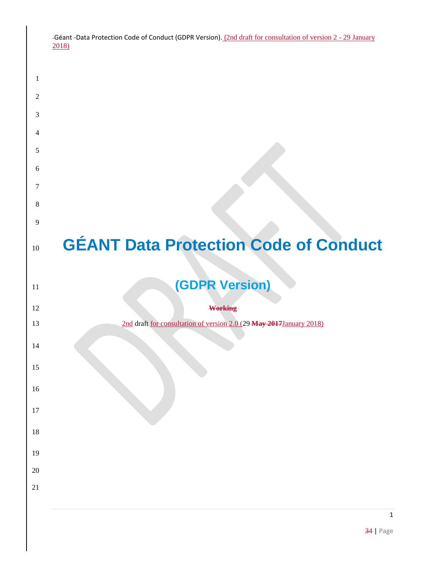| -Géant -Data Protection Code of Conduct (GDPR Version). (2nd draft for consultation of version 2 - 29 January |  |
|---------------------------------------------------------------------------------------------------------------|--|
| 2018)                                                                                                         |  |

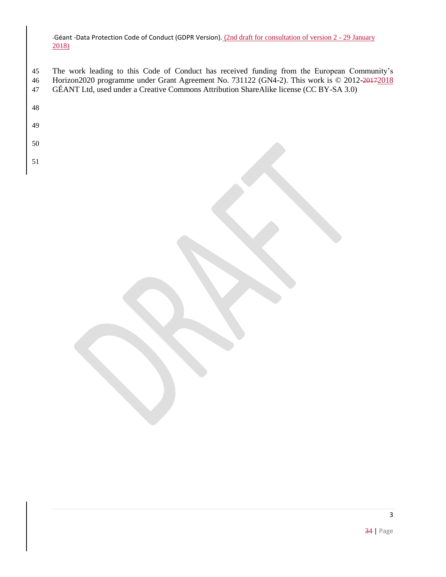- The work leading to this Code of Conduct has received funding from the European Community's 46 Horizon2020 programme under Grant Agreement No. 731122 (GN4-2). This work is © 2012-20172018 GÉANT Ltd, used under a Creative Commons Attribution ShareAlike license (CC BY-SA 3.0)
- 
- 
- 
-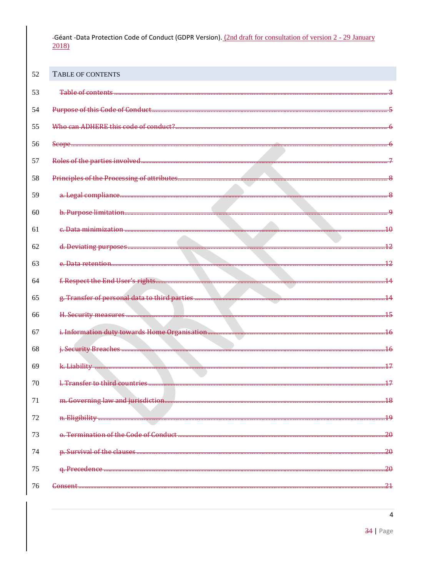<span id="page-3-0"></span>

| 52 | <b>TABLE OF CONTENTS</b>               |                  |
|----|----------------------------------------|------------------|
| 53 | Table of contents                      |                  |
| 54 |                                        |                  |
| 55 | Who can ADHERE this code of conduct?   |                  |
| 56 |                                        |                  |
| 57 |                                        |                  |
| 58 |                                        |                  |
| 59 |                                        |                  |
| 60 |                                        |                  |
| 61 |                                        |                  |
| 62 |                                        | 12               |
| 63 |                                        | 12               |
| 64 |                                        | $\overline{14}$  |
| 65 |                                        | $\overline{14}$  |
| 66 |                                        | 15               |
| 67 |                                        | $\overline{16}$  |
| 68 |                                        | $\overline{16}$  |
| 69 | k. Liability                           |                  |
| 70 | 1 Transfer to third countries          | 17               |
| 71 |                                        | $\overline{.18}$ |
| 72 |                                        | 49               |
| 73 | o. Termination of the Code of Conduct. | .20              |
| 74 |                                        | .20              |
| 75 |                                        | .20              |
| 76 | Consent                                | .21              |

 $\overline{4}$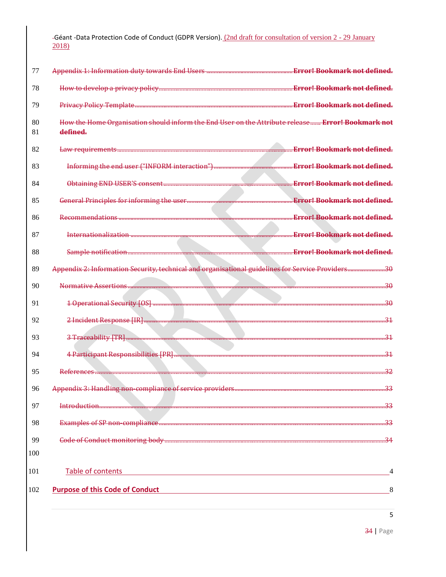| 77       |                                                                                                               | <u>. Error! Bookmark not defined.</u> |
|----------|---------------------------------------------------------------------------------------------------------------|---------------------------------------|
| 78       |                                                                                                               |                                       |
| 79       |                                                                                                               |                                       |
| 80<br>81 | How the Home Organisation should inform the End User on the Attribute release Error! Bookmark not<br>defined. |                                       |
| 82       |                                                                                                               | <b>Error! Bookmark not defined.</b>   |
| 83       |                                                                                                               |                                       |
| 84       |                                                                                                               | <b>Error! Bookmark not defined.</b>   |
| 85       |                                                                                                               | <b>Error! Bookmark not defined.</b>   |
| 86       |                                                                                                               | <b>Error! Bookmark not defined.</b>   |
| 87       | Internationalization                                                                                          | <b>Error! Bookmark not defined.</b>   |
| 88       |                                                                                                               |                                       |
| 89       | Appendix 2: Information Security, technical and organisational guidelines for Service Providers30             |                                       |
| 90       |                                                                                                               | $\overline{30}$                       |
| 91       |                                                                                                               | .30                                   |
| 92       |                                                                                                               | .31                                   |
| 93       |                                                                                                               | .31                                   |
| 94       |                                                                                                               | .31                                   |
| 95       | Reforences                                                                                                    | 32                                    |
| 96       | Appendix 3: Handling non-compliance of service providers                                                      | $\overline{33}$                       |
| 97       |                                                                                                               | .33                                   |
| 98       |                                                                                                               | 33                                    |
| 99       |                                                                                                               | .34                                   |
| 100      |                                                                                                               |                                       |
| 101      | Table of contents                                                                                             | 4                                     |
| 102      | <b>Purpose of this Code of Conduct</b>                                                                        | 8                                     |
|          |                                                                                                               |                                       |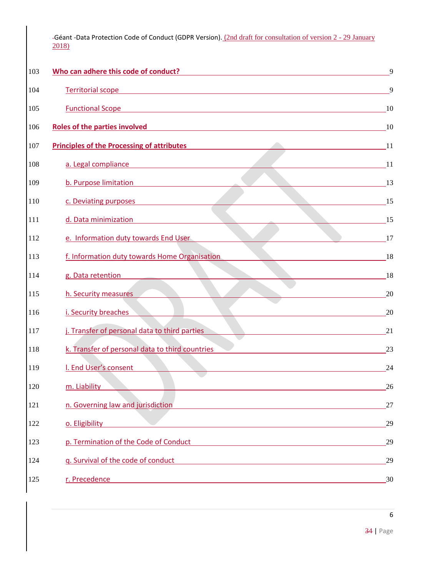| 103 | Who can adhere this code of conduct?                                                                                                                            | $\mathbf Q$ |
|-----|-----------------------------------------------------------------------------------------------------------------------------------------------------------------|-------------|
| 104 | <b>Territorial scope</b><br><u> 1980 - Jan Samuel Barbara, margaret eta idazlea (h. 1980).</u>                                                                  | 9           |
| 105 | <b>Functional Scope</b>                                                                                                                                         | 10          |
| 106 | <b>Roles of the parties involved</b><br>and the control of the control of the control of the control of the control of the control of the control of the        | 10          |
| 107 | <b>Principles of the Processing of attributes</b>                                                                                                               | -11         |
| 108 | a. Legal compliance                                                                                                                                             | -11         |
| 109 | b. Purpose limitation                                                                                                                                           | 13          |
| 110 | c. Deviating purposes                                                                                                                                           | 15          |
| 111 | d. Data minimization                                                                                                                                            | 15          |
| 112 | e. Information duty towards End User                                                                                                                            | 17          |
| 113 | f. Information duty towards Home Organisation                                                                                                                   | 18          |
| 114 | g. Data retention                                                                                                                                               | 18          |
| 115 | h. Security measures                                                                                                                                            | 20          |
| 116 | i. Security breaches                                                                                                                                            | 20          |
| 117 | j. Transfer of personal data to third parties                                                                                                                   | 21          |
| 118 | k. Transfer of personal data to third countries                                                                                                                 | 23          |
| 119 | I. End User's consent                                                                                                                                           | 24          |
| 120 | m. Liability                                                                                                                                                    | 26          |
| 121 | n. Governing law and jurisdiction                                                                                                                               | 27          |
| 122 | o. Eligibility                                                                                                                                                  | 29          |
| 123 | p. Termination of the Code of Conduct<br><u> 1980 - Andrea Aonaichte, ann an t-Èireann an t-Èireann an t-Èireann an t-Èireann an t-Èireann an t-Èireann an </u> | 29          |
| 124 | g. Survival of the code of conduct<br><u> 1980 - Jan Samuel Barbara, martin de la propincia de la propincia de la propincia de la propincia de la propi</u>     | 29          |
| 125 | r. Precedence<br><u> 1980 - Johann Barn, mars ann an t-Amhain Aonaich an t-Aonaich an t-Aonaich an t-Aonaich an t-Aonaich an t-Aon</u>                          | 30          |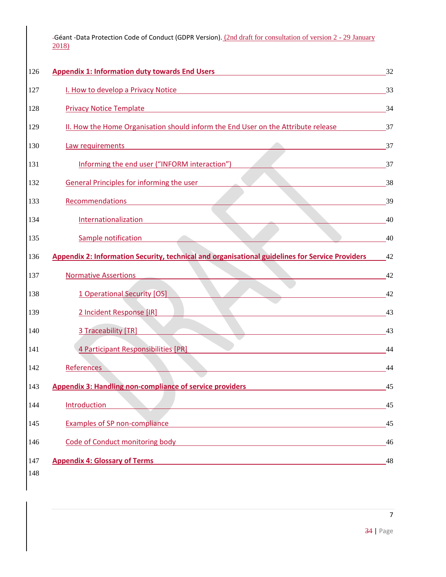| 126 | <b>Appendix 1: Information duty towards End Users</b>                                                  | 32 |
|-----|--------------------------------------------------------------------------------------------------------|----|
| 127 | I. How to develop a Privacy Notice                                                                     | 33 |
| 128 | <b>Privacy Notice Template</b>                                                                         | 34 |
| 129 | II. How the Home Organisation should inform the End User on the Attribute release                      | 37 |
| 130 | Law requirements                                                                                       | 37 |
| 131 | Informing the end user ("INFORM interaction")                                                          | 37 |
| 132 | <b>General Principles for informing the user</b>                                                       | 38 |
| 133 | Recommendations                                                                                        | 39 |
| 134 | Internationalization                                                                                   | 40 |
| 135 | Sample notification                                                                                    | 40 |
| 136 | <b>Appendix 2: Information Security, technical and organisational guidelines for Service Providers</b> | 42 |
| 137 | <b>Normative Assertions</b>                                                                            | 42 |
| 138 | 1 Operational Security [OS]                                                                            | 42 |
| 139 | 2 Incident Response [IR]                                                                               | 43 |
| 140 | 3 Traceability [TR]                                                                                    | 43 |
| 141 | 4 Participant Responsibilities [PR]                                                                    | 44 |
| 142 | <b>References</b>                                                                                      | 44 |
| 143 | <b>Appendix 3: Handling non-compliance of service providers</b>                                        | 45 |
| 144 | Introduction                                                                                           | 45 |
| 145 | <b>Examples of SP non-compliance</b>                                                                   | 45 |
| 146 | Code of Conduct monitoring body                                                                        | 46 |
| 147 | <b>Appendix 4: Glossary of Terms</b>                                                                   | 48 |
| 148 |                                                                                                        |    |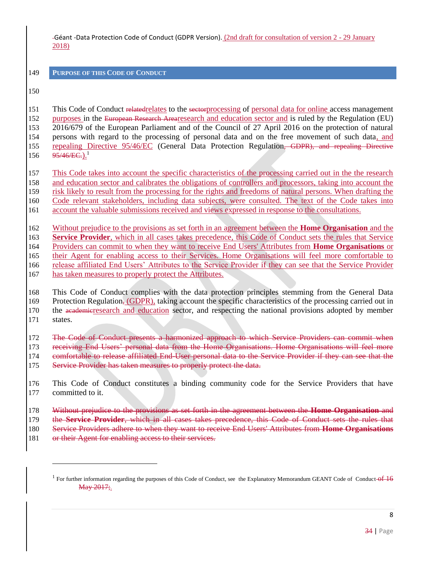<span id="page-7-0"></span>**PURPOSE OF THIS CODE OF CONDUCT** 

151 This Code of Conduct relatedrelates to the sectorprocessing of personal data for online access management 152 purposes in the European Research Arearesearch and education sector and is ruled by the Regulation (EU) 2016/679 of the European Parliament and of the Council of 27 April 2016 on the protection of natural persons with regard to the processing of personal data and on the free movement of such data, and repealing Directive 95/46/EC (General Data Protection Regulation, GDPR), and repealing Directive  $95/46/EC.)$ <sup>1</sup> 

This Code takes into account the specific characteristics of the processing carried out in the the research

- and education sector and calibrates the obligations of controllers and processors, taking into account the risk likely to result from the processing for the rights and freedoms of natural persons. When drafting the
- Code relevant stakeholders, including data subjects, were consulted. The text of the Code takes into
- account the valuable submissions received and views expressed in response to the consultations.
- 

 Without prejudice to the provisions as set forth in an agreement between the **Home Organisation** and the **Service Provider**, which in all cases takes precedence, this Code of Conduct sets the rules that Service

Providers can commit to when they want to receive End Users' Attributes from **Home Organisations** or

their Agent for enabling access to their Services. Home Organisations will feel more comfortable to

- release affiliated End Users' Attributes to the Service Provider if they can see that the Service Provider
- 167 has taken measures to properly protect the Attributes.
- This Code of Conduct complies with the data protection principles stemming from the General Data
- 169 Protection Regulation, (GDPR), taking account the specific characteristics of the processing carried out in 170 the academicresearch and education sector, and respecting the national provisions adopted by member
- states.

 $\overline{a}$ 

The Code of Conduct presents a harmonized approach to which Service Providers can commit when

- receiving End Users' personal data from the Home Organisations. Home Organisations will feel more
- 174 comfortable to release affiliated End-User personal data to the Service Provider if they can see that the
- 175 Service Provider has taken measures to properly protect the data.
- This Code of Conduct constitutes a binding community code for the Service Providers that have committed to it.
- Without prejudice to the provisions as set forth in the agreement between the **Home Organisation** and the **Service Provider**, which in all cases takes precedence, this Code of Conduct sets the rules that
- Service Providers adhere to when they want to receive End Users' Attributes from **Home Organisations**
- 181 or their Agent for enabling access to their services.

<sup>&</sup>lt;sup>1</sup> For further information regarding the purposes of this Code of Conduct, see the Explanatory Memorandum GEANT Code of Conduct-of 16 May 2017;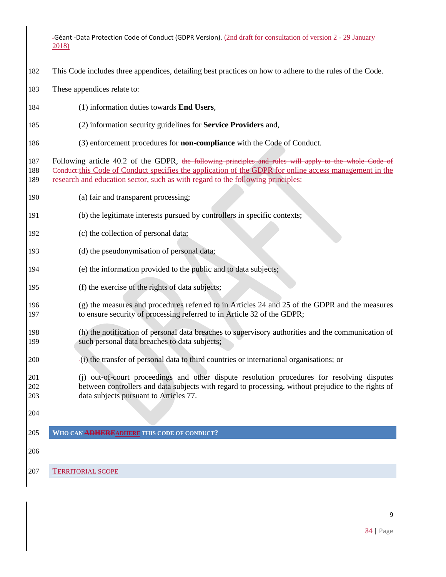- This Code includes three appendices, detailing best practices on how to adhere to the rules of the Code.
- These appendices relate to:
- (1) information duties towards **End Users**,
- (2) information security guidelines for **Service Providers** and,
- (3) enforcement procedures for **non-compliance** with the Code of Conduct.

187 Following article 40.2 of the GDPR, the following principles and rules will apply to the whole Code of 188 Conduct:this Code of Conduct specifies the application of the GDPR for online access management in the research and education sector, such as with regard to the following principles:

- (a) fair and transparent processing;
- (b) the legitimate interests pursued by controllers in specific contexts;
- (c) the collection of personal data;
- (d) the pseudonymisation of personal data;
- (e) the information provided to the public and to data subjects;
- (f) the exercise of the rights of data subjects;
- (g) the measures and procedures referred to in Articles 24 and 25 of the GDPR and the measures to ensure security of processing referred to in Article 32 of the GDPR;
- (h) the notification of personal data breaches to supervisory authorities and the communication of such personal data breaches to data subjects;
- (i) the transfer of personal data to third countries or international organisations; or

 (j) out-of-court proceedings and other dispute resolution procedures for resolving disputes between controllers and data subjects with regard to processing, without prejudice to the rights of data subjects pursuant to Articles 77.

<span id="page-8-0"></span>

#### <span id="page-8-1"></span>**WHO CAN ADHEREADHERE THIS CODE OF CONDUCT?**

TERRITORIAL SCOPE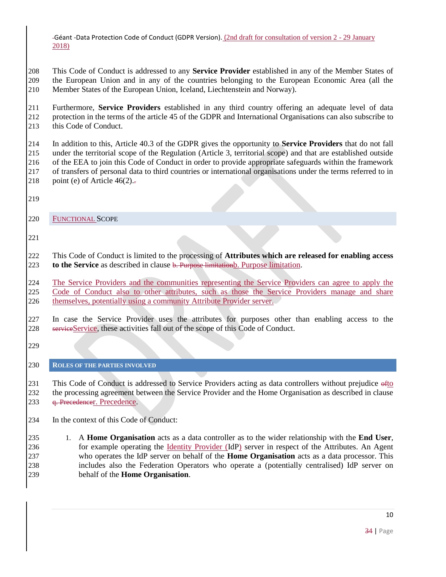This Code of Conduct is addressed to any **Service Provider** established in any of the Member States of the European Union and in any of the countries belonging to the European Economic Area (all the Member States of the European Union, Iceland, Liechtenstein and Norway).

 Furthermore, **Service Providers** established in any third country offering an adequate level of data protection in the terms of the article 45 of the GDPR and International Organisations can also subscribe to this Code of Conduct.

 In addition to this, Article 40.3 of the GDPR gives the opportunity to **Service Providers** that do not fall under the territorial scope of the Regulation (Article 3, territorial scope) and that are established outside of the EEA to join this Code of Conduct in order to provide appropriate safeguards within the framework of transfers of personal data to third countries or international organisations under the terms referred to in 218 point (e) of Article  $46(2)$ .

<span id="page-9-0"></span>

FUNCTIONAL SCOPE

 This Code of Conduct is limited to the processing of **Attributes which are released for enabling access to the Service** as described in clause **[b. Purpose limitation](#page-12-1)** [b. Purpose limitation.](#page-12-1)

 The Service Providers and the communities representing the Service Providers can agree to apply the 225 Code of Conduct also to other attributes, such as those the Service Providers manage and share themselves, potentially using a community Attribute Provider server.

 In case the Service Provider uses the attributes for purposes other than enabling access to the 228 serviceService, these activities fall out of the scope of this Code of Conduct.

<span id="page-9-1"></span>

### **ROLES OF THE PARTIES INVOLVED**

231 This Code of Conduct is addressed to Service Providers acting as data controllers without prejudice of to the processing agreement between the Service Provider and the Home Organisation as described in clause [q. Precedence](#page-29-0)[r. Precedence.](#page-29-0)

In the context of this Code of Conduct:

 1. A **Home Organisation** acts as a data controller as to the wider relationship with the **End User**, for example operating the Identity Provider (IdP) server in respect of the Attributes. An Agent who operates the IdP server on behalf of the **Home Organisation** acts as a data processor. This includes also the Federation Operators who operate a (potentially centralised) IdP server on behalf of the **Home Organisation**.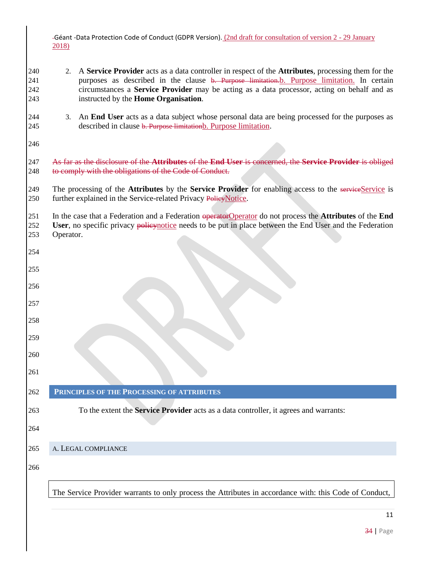| -Géant -Data Protection Code of Conduct (GDPR Version). (2nd draft for consultation of version 2 - 29 January |  |
|---------------------------------------------------------------------------------------------------------------|--|
| 2018)                                                                                                         |  |

- 2. A **Service Provider** acts as a data controller in respect of the **Attributes**, processing them for the 241 purposes as described in the clause <del>[b. Purpose limitation.](#page-12-1)</del> Purpose [limitation.](#page-12-0) In certain circumstances a **Service Provider** may be acting as a data processor, acting on behalf and as instructed by the **Home Organisation**.
- 3. An **End User** acts as a data subject whose personal data are being processed for the purposes as 245 described in clause [b. Purpose limitation](#page-12-1)[b. Purpose limitation.](#page-12-1)

 As far as the disclosure of the **Attributes** of the **End User** is concerned, the **Service Provider** is obliged 248 to comply with the obligations of the Code of Conduct.

249 The processing of the **Attributes** by the **Service Provider** for enabling access to the serviceService is 250 further explained in the Service-related Privacy PolicyNotice.

251 In the case that a Federation and a Federation operatorOperator do not process the **Attributes** of the **End User**, no specific privacy policynotice needs to be put in place between the End User and the Federation Operator.

<span id="page-10-0"></span>

# **PRINCIPLES OF THE PROCESSING OF ATTRIBUTES**

To the extent the **Service Provider** acts as a data controller, it agrees and warrants:

<span id="page-10-1"></span>

# A. LEGAL COMPLIANCE

The Service Provider warrants to only process the Attributes in accordance with: this Code of Conduct,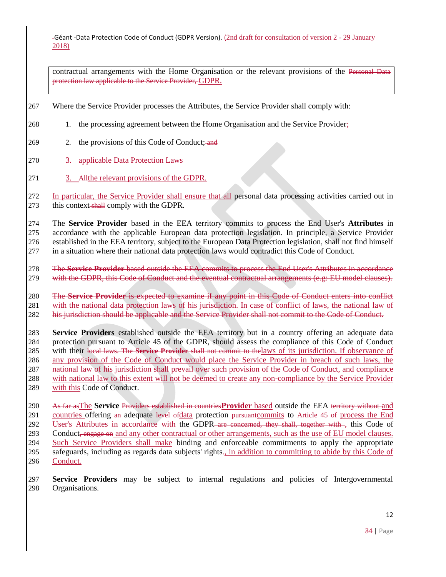contractual arrangements with the Home Organisation or the relevant provisions of the Personal Data protection law applicable to the Service Provider, GDPR.

- 267 Where the Service Provider processes the Attributes, the Service Provider shall comply with:
- 268 1. the processing agreement between the Home Organisation and the Service Provider;
- 269 2. the provisions of this Code of Conduct; and
- 270 3. applicable Data Protection Laws
- 271 3. Allthe relevant provisions of the GDPR.

272 In particular, the Service Provider shall ensure that all personal data processing activities carried out in 273 this context-shall comply with the GDPR.

 The **Service Provider** based in the EEA territory commits to process the End User's **Attributes** in accordance with the applicable European data protection legislation. In principle, a Service Provider established in the EEA territory, subject to the European Data Protection legislation, shall not find himself in a situation where their national data protection laws would contradict this Code of Conduct.

278 The **Service Provider** based outside the EEA commits to process the End User's Attributes in accordance 279 with the GDPR, this Code of Conduct and the eventual contractual arrangements (e.g: EU model clauses).

280 The **Service Provider** is expected to examine if any point in this Code of Conduct enters into conflict 281 with the national data protection laws of his jurisdiction. In case of conflict of laws, the national law of 282 his jurisdiction should be applicable and the Service Provider shall not commit to the Code of Conduct.

 **Service Providers** established outside the EEA territory but in a country offering an adequate data protection pursuant to Article 45 of the GDPR, should assess the compliance of this Code of Conduct with their local laws. The **Service Provider** shall not commit to thelaws of its jurisdiction. If observance of any provision of the Code of Conduct would place the Service Provider in breach of such laws, the national law of his jurisdiction shall prevail over such provision of the Code of Conduct, and compliance with national law to this extent will not be deemed to create any non-compliance by the Service Provider 289 with this Code of Conduct.

290 As far asThe **Service** Providers established in countries**Provider** based outside the EEA territory without and 291 countries offering an adequate level of data protection pursuant commits to Article 45 of process the End 292 User's Attributes in accordance with the GDPR are concerned, they shall, together with , this Code of 293 Conduct, engage on and any other contractual or other arrangements, such as the use of EU model clauses. 294 Such Service Providers shall make binding and enforceable commitments to apply the appropriate 295 safeguards, including as regards data subjects' rights.<sub>1</sub> in addition to committing to abide by this Code of 296 Conduct.

297 **Service Providers** may be subject to internal regulations and policies of Intergovernmental 298 Organisations.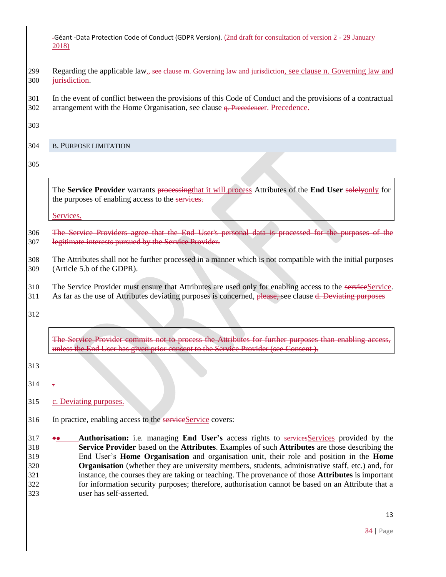- 299 Regarding the applicable law, see clause [m. Governing law and jurisdiction](#page-27-0), see clause n. Governing law and [jurisdiction.](#page-26-0)
- In the event of conflict between the provisions of this Code of Conduct and the provisions of a contractual 302 arrangement with the Home Organisation, see clause <del>[q. Precedence](#page-29-0)</del>[r. Precedence.](#page-29-0)

<span id="page-12-0"></span>

### <span id="page-12-1"></span>B. PURPOSE LIMITATION

The **Service Provider** warrants processingthat it will process Attributes of the **End User** solelyonly for the purposes of enabling access to the services.

Services.

 The Service Providers agree that the End User's personal data is processed for the purposes of the legitimate interests pursued by the Service Provider.

 The Attributes shall not be further processed in a manner which is not compatible with the initial purposes (Article 5.b of the GDPR).

310 The Service Provider must ensure that Attributes are used only for enabling access to the serviceService.

311 As far as the use of Attributes deviating purposes is concerned, please, see clause [d. Deviating purposes](#page-16-1)

[The Service Provider commits not to process the Attributes for further purposes than enabling access,](#page-16-1)  [unless the End User has given prior consent to the Service Provider \(see Consent](#page-16-1) ).

.

[c. Deviating purposes.](#page-14-0)

316 In practice, enabling access to the serviceService covers:

**•• Authorisation:** i.e. managing **End User's** access rights to servicesServices provided by the **Service Provider** based on the **Attributes**. Examples of such **Attributes** are those describing the End User's **Home Organisation** and organisation unit, their role and position in the **Home Organisation** (whether they are university members, students, administrative staff, etc.) and, for instance, the courses they are taking or teaching. The provenance of those **Attributes** is important for information security purposes; therefore, authorisation cannot be based on an Attribute that a user has self-asserted.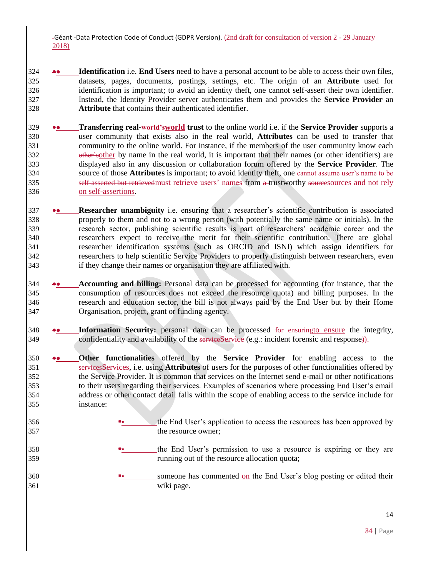- **Identification** i.e. **End Users** need to have a personal account to be able to access their own files, datasets, pages, documents, postings, settings, etc. The origin of an **Attribute** used for identification is important; to avoid an identity theft, one cannot self-assert their own identifier. Instead, the Identity Provider server authenticates them and provides the **Service Provider** an **Attribute** that contains their authenticated identifier.
- **Transferring real-world'sworld trust** to the online world i.e. if the **Service Provider** supports a user community that exists also in the real world, **Attributes** can be used to transfer that community to the online world. For instance, if the members of the user community know each 332 other sother by name in the real world, it is important that their names (or other identifiers) are displayed also in any discussion or collaboration forum offered by the **Service Provider**. The source of those **Attributes** is important; to avoid identity theft, one cannot assume user's name to be 335 self-asserted but retrievedmust retrieve users' names from a trustworthy sources and not rely on self-assertions.
- **Researcher unambiguity** i.e. ensuring that a researcher's scientific contribution is associated properly to them and not to a wrong person (with potentially the same name or initials). In the research sector, publishing scientific results is part of researchers' academic career and the researchers expect to receive the merit for their scientific contribution. There are global researcher identification systems (such as ORCID and ISNI) which assign identifiers for researchers to help scientific Service Providers to properly distinguish between researchers, even if they change their names or organisation they are affiliated with.
- **Accounting and billing:** Personal data can be processed for accounting (for instance, that the consumption of resources does not exceed the resource quota) and billing purposes. In the research and education sector, the bill is not always paid by the End User but by their Home Organisation, project, grant or funding agency.
- **Information Security:** personal data can be processed for ensuringto ensure the integrity, 349 confidentiality and availability of the service Service (e.g.: incident forensic and response)).
- **Other functionalities** offered by the **Service Provider** for enabling access to the servicesServices, i.e. using **Attributes** of users for the purposes of other functionalities offered by the Service Provider. It is common that services on the Internet send e-mail or other notifications to their users regarding their services. Examples of scenarios where processing End User's email address or other contact detail falls within the scope of enabling access to the service include for instance:
- <sup>356</sup> **<sup>\*\*</sup>** the End User's application to access the resources has been approved by the resource owner;
- <sup>358</sup>  **The End User's permission to use a resource is expiring or they are** running out of the resource allocation quota;
- **someone has commented on the End User's blog posting or edited their** wiki page.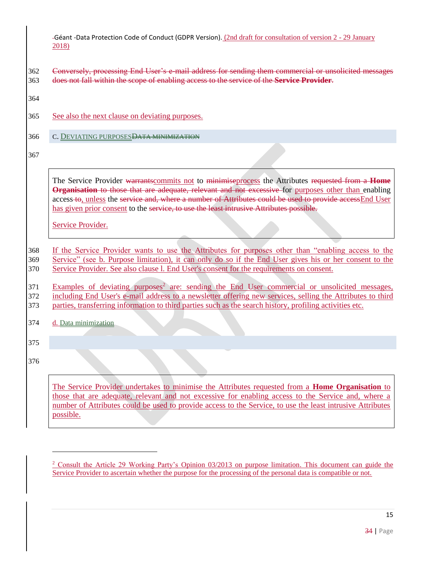- 362 Conversely, processing End User's e-mail address for sending them commercial or unsolicited messages 363 does not fall within the scope of enabling access to the service of the **Service Provider**.
- 364
- 365 See also the next clause on deviating purposes.
- <span id="page-14-0"></span>366 C. DEVIATING PURPOSES DATA MINIMIZATION
- 367

The Service Provider warrantscommits not to minimiseprocess the Attributes requested from a **Home Organisation** to those that are adequate, relevant and not excessive for purposes other than enabling access to, unless the service and, where a number of Attributes could be used to provide accessEnd User has given prior consent to the service, to use the least intrusive Attributes possible.

Service Provider.

368 If the Service Provider wants to use the Attributes for purposes other than "enabling access to the 369 Service" (see [b. Purpose limitation\)](#page-12-0), it can only do so if the End User gives his or her consent to the

370 Service Provider. See also clause l. End User's consent for the requirements on consent.

371 Examples of deviating purposes<sup>2</sup> are: sending the End User commercial or unsolicited messages, 372 including End User's e-mail address to a newsletter offering new services, selling the Attributes to third

373 parties, transferring information to third parties such as the search history, profiling activities etc.

<span id="page-14-1"></span>374 d. Data minimization

375

376

 $\overline{a}$ 

The Service Provider undertakes to minimise the Attributes requested from a **Home Organisation** to those that are adequate, relevant and not excessive for enabling access to the Service and, where a number of Attributes could be used to provide access to the Service, to use the least intrusive Attributes possible.

<sup>&</sup>lt;sup>2</sup> Consult the Article 29 Working Party's [Opinion 03/2013 on purpose limitation.](http://ec.europa.eu/justice/data-protection/article-29/documentation/opinion-recommendation/files/2013/wp203_en.pdf) This document can guide the Service Provider to ascertain whether the purpose for the processing of the personal data is compatible or not.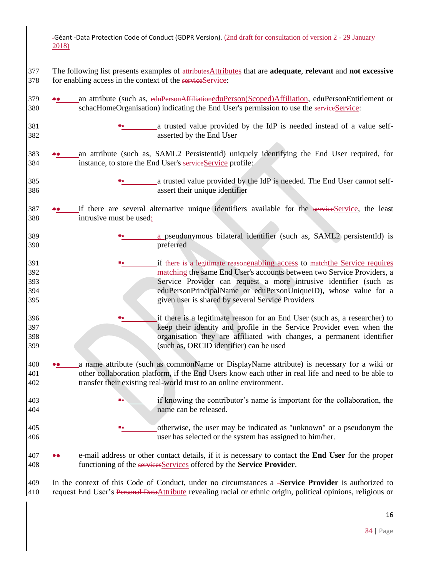| -Géant -Data Protection Code of Conduct (GDPR Version). (2nd draft for consultation of version 2 - 29 January |  |
|---------------------------------------------------------------------------------------------------------------|--|
| 2018)                                                                                                         |  |

- The following list presents examples of attributesAttributes that are **adequate**, **relevant** and **not excessive** 378 for enabling access in the context of the serviceService:
- **•** an attribute (such as, eduPersonAffiliationeduPerson(Scoped)Affiliation, eduPersonEntitlement or 380 schacHomeOrganisation) indicating the End User's permission to use the serviceService:
- **a** trusted value provided by the IdP is needed instead of a value self-asserted by the End User
- an attribute (such as, SAML2 PersistentId) uniquely identifying the End User required, for 384 instance, to store the End User's serviceService profile:
- **a** trusted value provided by the IdP is needed. The End User cannot self-assert their unique identifier
- **•** if there are several alternative unique identifiers available for the serviceService, the least intrusive must be used:
- **a** pseudonymous bilateral identifier (such as, SAML2 persistentId) is preferred
- <sup>391</sup> if there is a legitimate reasonenabling access to match the Service requires matching the same End User's accounts between two Service Providers, a Service Provider can request a more intrusive identifier (such as eduPersonPrincipalName or eduPersonUniqueID), whose value for a given user is shared by several Service Providers
- <sup>396</sup> **<sup>\*\*</sup>** if there is a legitimate reason for an End User (such as, a researcher) to keep their identity and profile in the Service Provider even when the organisation they are affiliated with changes, a permanent identifier (such as, ORCID identifier) can be used
- a name attribute (such as commonName or DisplayName attribute) is necessary for a wiki or other collaboration platform, if the End Users know each other in real life and need to be able to transfer their existing real-world trust to an online environment.
- if knowing the contributor's name is important for the collaboration, the name can be released.
- otherwise, the user may be indicated as "unknown" or a pseudonym the user has selected or the system has assigned to him/her.
- e-mail address or other contact details, if it is necessary to contact the **End User** for the proper functioning of the servicesServices offered by the **Service Provider**.
- In the context of this Code of Conduct, under no circumstances a **Service Provider** is authorized to request End User's Personal DataAttribute revealing racial or ethnic origin, political opinions, religious or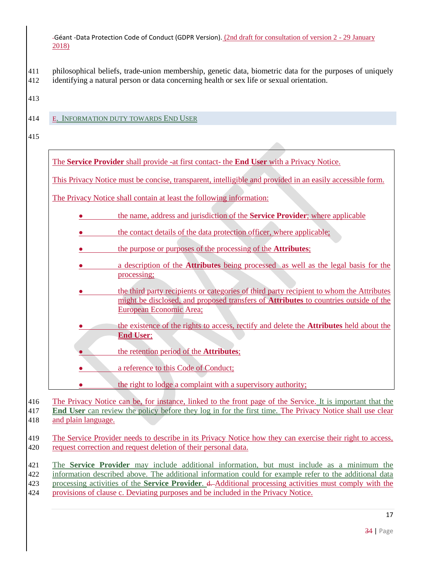- 411 philosophical beliefs, trade-union membership, genetic data, biometric data for the purposes of uniquely
- 412 identifying a natural person or data concerning health or sex life or sexual orientation.
- 413
- <span id="page-16-0"></span>414 E. INFORMATION DUTY TOWARDS END USER
- 415

The **Service Provider** shall provide -at first contact- the **End User** with a Privacy Notice.

This Privacy Notice must be concise, transparent, intelligible and provided in an easily accessible form.

The Privacy Notice shall contain at least the following information:

- **the name, address and jurisdiction of the Service Provider;** where applicable
- the contact details of the data protection officer, where applicable;
- the purpose or purposes of the processing of the **Attributes**;
- a description of the **Attributes** being processed as well as the legal basis for the processing;
- the third party recipients or categories of third party recipient to whom the Attributes might be disclosed, and proposed transfers of **Attributes** to countries outside of the European Economic Area;
- the existence of the rights to access, rectify and delete the **Attributes** held about the **End User**;
- the retention period of the **Attributes**;
- a reference to this Code of Conduct;

<span id="page-16-1"></span>the right to lodge a complaint with a supervisory authority;

416 The Privacy Notice can be, for instance, linked to the front page of the Service. It is important that the

417 **End User** can review the policy before they log in for the first time. The Privacy Notice shall use clear 418 and plain language.

419 The Service Provider needs to describe in its Privacy Notice how they can exercise their right to access, 420 request correction and request deletion of their personal data.

 The **Service Provider** may include additional information, but must include as a minimum the information described above. The additional information could for example refer to the additional data processing activities of the **Service Provider**. d. Additional processing activities must comply with the provisions of clause [c. Deviating purposes](#page-14-0) and be included in the Privacy Notice.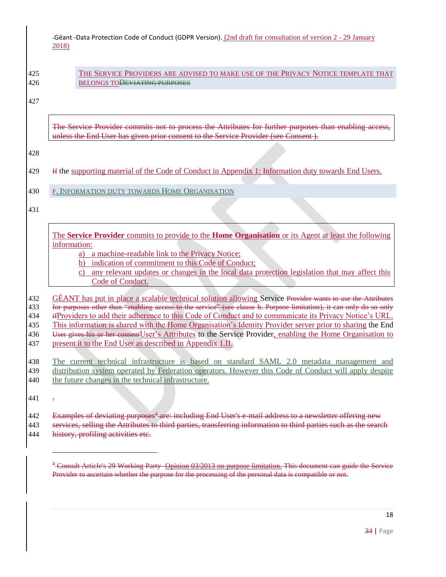425 THE SERVICE PROVIDERS ARE ADVISED TO MAKE USE OF THE PRIVACY NOTICE TEMPLATE THAT 426 BELONGS TO<del>DEVIATING PURPOSES</del>

427

The Service Provider commits not to process the Attributes for further purposes than enabling access, unless the End User has given prior consent to the Service Provider (see [Consent](#page-29-1) ).

428

429 If the supporting material of the Code of Conduct in [Appendix 1: Information duty towards End Users.](#page-31-0)

<span id="page-17-0"></span>430 F. INFORMATION DUTY TOWARDS HOME ORGANISATION

431

The **Service Provider** commits to provide to the **Home Organisation** or its Agent at least the following information:

a) a machine-readable link to the Privacy Notice;

b) indication of commitment to this Code of Conduct;

c) any relevant updates or changes in the local data protection legislation that may affect this Code of Conduct.

432 GÉANT has put in place a scalable technical solution allowing Service Provider wants to use the Attributes for purposes other than "enabling access to the service" (see clause [b. Purpose limitation\)](#page-12-1), it can only do so only ifProviders to add their adherence to this Code of Conduct and to communicate its Privacy Notice's URL. This information is shared with the Home Organisation's Identity Provider server prior to sharing the End 436 User gives his or her consent User's Attributes to the Service Provider, enabling the Home Organisation to present it to the End User as described in [Appendix 1.II.](#page-31-0)

438 The current technical infrastructure is based on standard SAML 2.0 metadata management and 439 distribution system operated by Federation operators. However this Code of Conduct will apply despite

440 the future changes in the technical infrastructure.

<span id="page-17-1"></span>441 .

 $\overline{a}$ 

- 442 Examples of deviating purposes<sup>3</sup> are: including End User's e-mail address to a newsletter offering new
- 443 services, selling the Attributes to third parties, transferring information to third parties such as the search 444 history, profiling activities etc.

<sup>&</sup>lt;sup>3</sup> Consult Article's 29 Working Party Opinion 03/2013 on purpose limitation. This document can guide the Service Provider to ascertain whether the purpose for the processing of the personal data is compatible or not.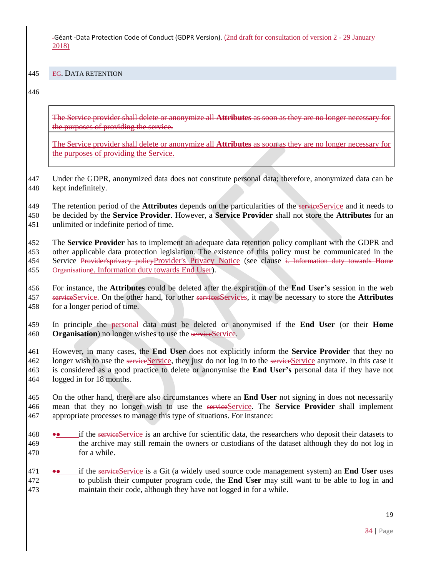<span id="page-18-0"></span>EG. DATA RETENTION

The Service provider shall delete or anonymize all **Attributes** as soon as they are no longer necessary for the purposes of providing the service.

The Service provider shall delete or anonymize all **Attributes** as soon as they are no longer necessary for the purposes of providing the Service.

 Under the GDPR, anonymized data does not constitute personal data; therefore, anonymized data can be kept indefinitely.

 The retention period of the **Attributes** depends on the particularities of the serviceService and it needs to be decided by the **Service Provider**. However, a **Service Provider** shall not store the **Attributes** for an

unlimited or indefinite period of time.

 The **Service Provider** has to implement an adequate data retention policy compliant with the GDPR and other applicable data protection legislation. The existence of this policy must be communicated in the Service Provider'sprivacy policyProvider's Privacy Notice (see clause [i. Information duty towards Home](#page-24-0)  [Organisation](#page-24-0)e. Information duty towards End User).

 For instance, the **Attributes** could be deleted after the expiration of the **End User's** session in the web serviceService. On the other hand, for other servicesServices, it may be necessary to store the **Attributes** for a longer period of time.

 In principle the personal data must be deleted or anonymised if the **End User** (or their **Home Organisation**) no longer wishes to use the serviceService.

 However, in many cases, the **End User** does not explicitly inform the **Service Provider** that they no 162 longer wish to use the serviceService, they just do not log in to the serviceService anymore. In this case it is considered as a good practice to delete or anonymise the **End User's** personal data if they have not logged in for 18 months.

 On the other hand, there are also circumstances where an **End User** not signing in does not necessarily 466 mean that they no longer wish to use the serviceService. The Service Provider shall implement appropriate processes to manage this type of situations. For instance:

- 468 if the serviceService is an archive for scientific data, the researchers who deposit their datasets to the archive may still remain the owners or custodians of the dataset although they do not log in for a while.
- if the serviceService is a Git (a widely used source code management system) an **End User** uses to publish their computer program code, the **End User** may still want to be able to log in and maintain their code, although they have not logged in for a while.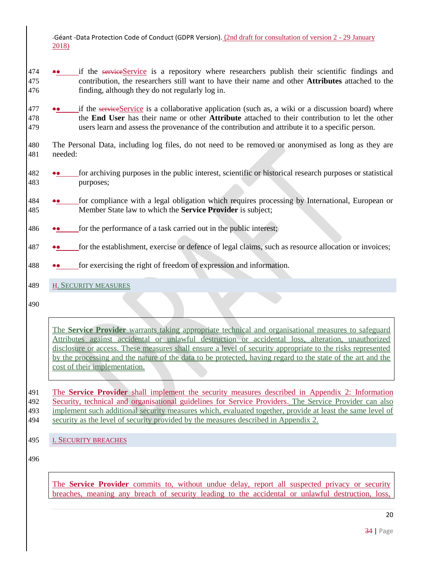- **••** if the serviceService is a repository where researchers publish their scientific findings and contribution, the researchers still want to have their name and other **Attributes** attached to the finding, although they do not regularly log in.
- **••** if the serviceService is a collaborative application (such as, a wiki or a discussion board) where the **End User** has their name or other **Attribute** attached to their contribution to let the other users learn and assess the provenance of the contribution and attribute it to a specific person.
- The Personal Data, including log files, do not need to be removed or anonymised as long as they are needed:
- for archiving purposes in the public interest, scientific or historical research purposes or statistical purposes;
- 484 •• for compliance with a legal obligation which requires processing by International, European or Member State law to which the **Service Provider** is subject;
- for the performance of a task carried out in the public interest;
- for the establishment, exercise or defence of legal claims, such as resource allocation or invoices;
- for exercising the right of freedom of expression and information.
- <span id="page-19-0"></span>H. SECURITY MEASURES
- 

The **Service Provider** warrants taking appropriate technical and organisational measures to safeguard Attributes against accidental or unlawful destruction or accidental loss, alteration, unauthorized disclosure or access. These measures shall ensure a level of security appropriate to the risks represented by the processing and the nature of the data to be protected, having regard to the state of the art and the cost of their implementation.

 The **Service Provider** shall implement the security measures described in [Appendix 2: Information](#page-41-0)  [Security, technical and organisational guidelines for Service Providers.](#page-41-0) The Service Provider can also 493 implement such additional security measures which, evaluated together, provide at least the same level of security as the level of security provided by the measures described in Appendix 2.

<span id="page-19-1"></span>495 I. SECURITY BREACHES

The **Service Provider** commits to, without undue delay, report all suspected privacy or security breaches, meaning any breach of security leading to the accidental or unlawful destruction, loss,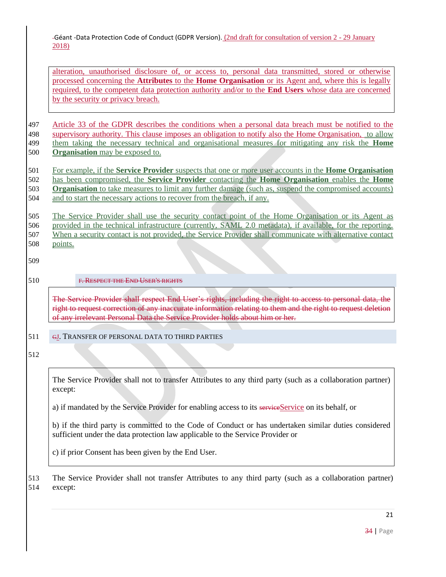alteration, unauthorised disclosure of, or access to, personal data transmitted, stored or otherwise processed concerning the **Attributes** to the **Home Organisation** or its Agent and, where this is legally required, to the competent data protection authority and/or to the **End Users** whose data are concerned by the security or privacy breach.

 Article 33 of the GDPR describes the conditions when a personal data breach must be notified to the supervisory authority. This clause imposes an obligation to notify also the Home Organisation, to allow them taking the necessary technical and organisational measures for mitigating any risk the **Home Organisation** may be exposed to.

 For example, if the **Service Provider** suspects that one or more user accounts in the **Home Organisation** has been compromised, the **Service Provider** contacting the **Home Organisation** enables the **Home Organisation** to take measures to limit any further damage (such as, suspend the compromised accounts) 504 and to start the necessary actions to recover from the breach, if any.

 The Service Provider shall use the security contact point of the Home Organisation or its Agent as provided in the technical infrastructure (currently, SAML 2.0 metadata), if available, for the reporting. When a security contact is not provided, the Service Provider shall communicate with alternative contact 508 points.

<span id="page-20-0"></span>509

### 510 F. RESPECT THE END USER'S RIGHTS

The Service Provider shall respect End User's rights, including the right to access to personal data, the right to request correction of any inaccurate information relating to them and the right to request deletion of any irrelevant Personal Data the Service Provider holds about him or her.

### <span id="page-20-1"></span>511 **GJ. TRANSFER OF PERSONAL DATA TO THIRD PARTIES**

512

The Service Provider shall not to transfer Attributes to any third party (such as a collaboration partner) except:

a) if mandated by the Service Provider for enabling access to its serviceService on its behalf, or

b) if the third party is committed to the Code of Conduct or has undertaken similar duties considered sufficient under the data protection law applicable to the Service Provider or

c) if prior Consent has been given by the End User.

513 The Service Provider shall not transfer Attributes to any third party (such as a collaboration partner) 514 except: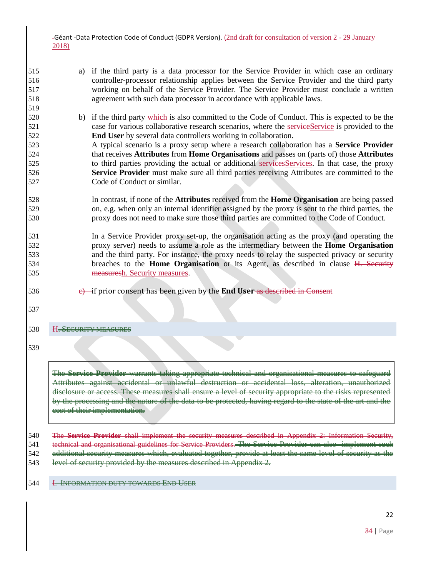- a) if the third party is a data processor for the Service Provider in which case an ordinary controller-processor relationship applies between the Service Provider and the third party working on behalf of the Service Provider. The Service Provider must conclude a written agreement with such data processor in accordance with applicable laws.
- 520 b) if the third party-which is also committed to the Code of Conduct. This is expected to be the 521 case for various collaborative research scenarios, where the serviceService is provided to the **End User** by several data controllers working in collaboration. A typical scenario is a proxy setup where a research collaboration has a **Service Provider** that receives **Attributes** from **Home Organisations** and passes on (parts of) those **Attributes**
- 525 to third parties providing the actual or additional servicesServices. In that case, the proxy **Service Provider** must make sure all third parties receiving Attributes are committed to the Code of Conduct or similar.
- In contrast, if none of the **Attributes** received from the **Home Organisation** are being passed on, e.g. when only an internal identifier assigned by the proxy is sent to the third parties, the proxy does not need to make sure those third parties are committed to the Code of Conduct.
- In a Service Provider proxy set-up, the organisation acting as the proxy (and operating the proxy server) needs to assume a role as the intermediary between the **Home Organisation** and the third party. For instance, the proxy needs to relay the suspected privacy or security breaches to the **Home Organisation** or its Agent, as described in clause [H. Security](#page-21-0)  [measures](#page-21-0)[h. Security measures.](#page-19-0)
- c) if prior consent has been given by the **End User** as described in [Consent](#page-29-1)
- 

<span id="page-21-0"></span>H. SECURITY MEASURES

The **Service Provider** warrants taking appropriate technical and organisational measures to safeguard Attributes against accidental or unlawful destruction or accidental loss, alteration, unauthorized disclosure or access. These measures shall ensure a level of security appropriate to the risks represented by the processing and the nature of the data to be protected, having regard to the state of the art and the cost of their implementation.

 The **Service Provider** shall implement the security measures described in [Appendix 2: Information Security,](#page-41-0)  [technical and organisational guidelines for Service Providers.](#page-41-0) The Service Provider can also implement such additional security measures which, evaluated together, provide at least the same level of security as the

- 543 level of security provided by the measures described in Appendix 2.
- <span id="page-21-1"></span>I. INFORMATION DUTY TOWARDS END USER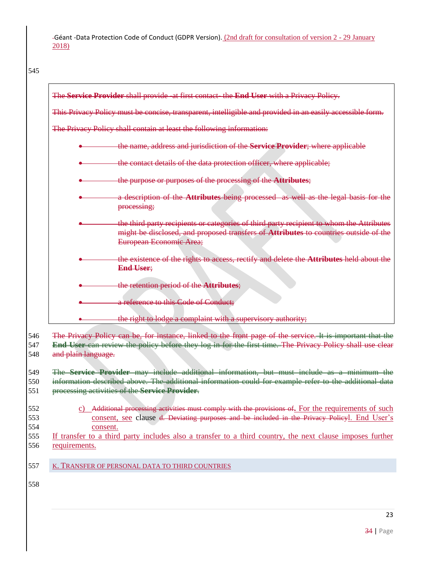<span id="page-22-0"></span>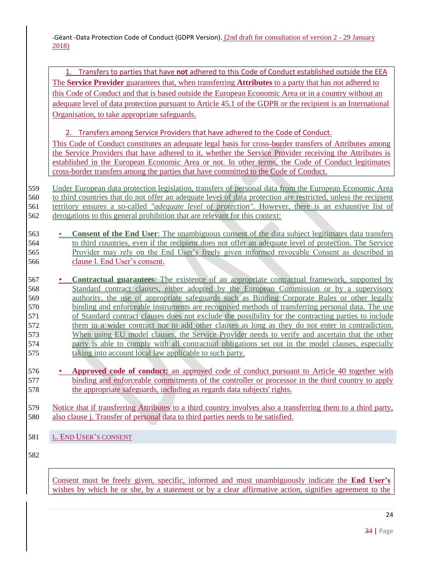1. Transfers to parties that have **not** adhered to this Code of Conduct established outside the EEA The **Service Provider** guarantees that, when transferring **Attributes** to a party that has not adhered to this Code of Conduct and that is based outside the European Economic Area or in a country without an adequate level of data protection pursuant to Article 45.1 of the GDPR or the recipient is an International Organisation, to take appropriate safeguards.

2. Transfers among Service Providers that have adhered to the Code of Conduct. This Code of Conduct constitutes an adequate legal basis for cross-border transfers of Attributes among the Service Providers that have adhered to it, whether the Service Provider receiving the Attributes is established in the European Economic Area or not. In other terms, the Code of Conduct legitimates cross-border transfers among the parties that have committed to the Code of Conduct.

 Under European data protection legislation, transfers of personal data from the European Economic Area to third countries that do not offer an adequate level of data protection are restricted, unless the recipient territory ensures a so-called *"adequate level of protection"*. However, there is an exhaustive list of 562 derogations to this general prohibition that are relevant for this context:

 ▪ **Consent of the End User**: The unambiguous consent of the data subject legitimates data transfers to third countries, even if the recipient does not offer an adequate level of protection. The Service Provider may rely on the End User's freely given informed revocable Consent as described in clause l. End User's consent.

**EXECUTE: Contractual guarantees**: The existence of an appropriate contractual framework, supported by 568 Standard contract clauses, either adopted by the European Commission or by a supervisory authority, the use of appropriate safeguards such as Binding Corporate Rules or other legally binding and enforceable instruments are recognised methods of transferring personal data. The use of Standard contract clauses does not exclude the possibility for the contracting parties to include them in a wider contract nor to add other clauses as long as they do not enter in contradiction. When using EU model clauses, the Service Provider needs to verify and ascertain that the other party is able to comply with all contractual obligations set out in the model clauses, especially taking into account local law applicable to such party.

**EXECUTE: Approved code of conduct:** an approved code of conduct pursuant to Article 40 together with 577 binding and enforceable commitments of the controller or processor in the third country to apply 578 the appropriate safeguards, including as regards data subjects' rights.

579 Notice that if transferring Attributes to a third country involves also a transferring them to a third party, 580 also clause j. Transfer of personal data to third parties needs to be satisfied.

<span id="page-23-0"></span>581 L. END USER'S CONSENT

582

Consent must be freely given, specific, informed and must unambiguously indicate the **End User's** wishes by which he or she, by a statement or by a clear affirmative action, signifies agreement to the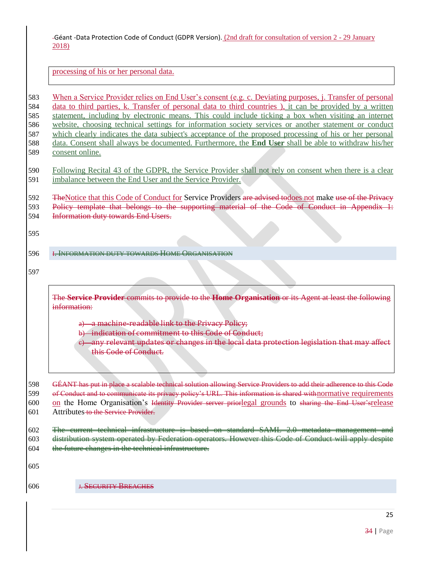processing of his or her personal data.

 When a Service Provider relies on End User's consent (e.g. [c. Deviating purposes,](#page-14-0) j. Transfer of personal data to third parties, [k. Transfer of personal data to third countries](#page-22-0) ), it can be provided by a written statement, including by electronic means. This could include ticking a box when visiting an internet website, choosing technical settings for information society services or another statement or conduct which clearly indicates the data subject's acceptance of the proposed processing of his or her personal data. Consent shall always be documented. Furthermore, the **End User** shall be able to withdraw his/her consent online.

 Following Recital 43 of the GDPR, the Service Provider shall not rely on consent when there is a clear imbalance between the End User and the Service Provider.

592 TheNotice that this Code of Conduct for Service Providers are advised todoes not make use of the Privacy

593 Policy template that belongs to the supporting material of the Code of Conduct in Appendix 1: [Information duty towards End Users.](#page-32-1)

- <span id="page-24-0"></span>I. INFORMATION DUTY TOWARDS HOME ORGANISATION
- 

The **Service Provider** commits to provide to the **Home Organisation** or its Agent at least the following information:

a) a machine-readable link to the Privacy Policy;

b) indication of commitment to this Code of Conduct;

e) any relevant updates or changes in the local data protection legislation that may affect this Code of Conduct.

 GÉANT has put in place a scalable technical solution allowing Service Providers to add their adherence to this Code 599 of Conduct and to communicate its privacy policy's URL. This information is shared with normative requirements 600 on the Home Organisation's Identity Provider server priorlegal grounds to sharing the End User'srelease Attributes to the Service Provider.

 The current technical infrastructure is based on standard SAML 2.0 metadata management and distribution system operated by Federation operators. However this Code of Conduct will apply despite the future changes in the technical infrastructure.

J. SECURITY BREACHES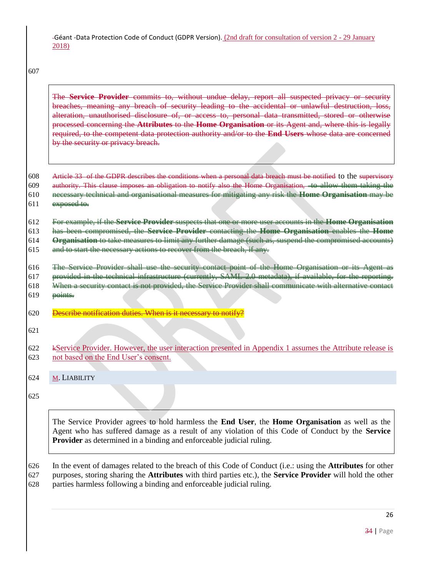607

The **Service Provider** commits to, without undue delay, report all suspected privacy or security breaches, meaning any breach of security leading to the accidental or unlawful destruction, loss, alteration, unauthorised disclosure of, or access to, personal data transmitted, stored or otherwise processed concerning the **Attributes** to the **Home Organisation** or its Agent and, where this is legally required, to the competent data protection authority and/or to the **End Users** whose data are concerned by the security or privacy breach.

608 Article 33 of the GDPR describes the conditions when a personal data breach must be notified to the supervisory authority. This clause imposes an obligation to notify also the Home Organisation, to allow them taking the necessary technical and organisational measures for mitigating any risk the **Home Organisation** may be exposed to.

612 For example, if the **Service Provider** suspects that one or more user accounts in the **Home Organisation**

613 has been compromised, the **Service Provider** contacting the **Home Organisation** enables the **Home** 

614 **Organisation** to take measures to limit any further damage (such as, suspend the compromised accounts)

615 and to start the necessary actions to recover from the breach, if any.

616 The Service Provider shall use the security contact point of the Home Organisation or its Agent as

617 provided in the technical infrastructure (currently, SAML 2.0 metadata), if available, for the reporting.

- 618 When a security contact is not provided, the Service Provider shall communicate with alternative contact  $619$  points.
- 620 Describe notification duties. When is it necessary to notify?
- 621
- 622 kService Provider. However, the user interaction presented in Appendix 1 assumes the Attribute release is 623 not based on the End User's consent.
- <span id="page-25-0"></span>624 M. LIABILITY

625

The Service Provider agrees to hold harmless the **End User**, the **Home Organisation** as well as the Agent who has suffered damage as a result of any violation of this Code of Conduct by the **Service Provider** as determined in a binding and enforceable judicial ruling.

626 In the event of damages related to the breach of this Code of Conduct (i.e.: using the **Attributes** for other 627 purposes, storing sharing the **Attributes** with third parties etc.), the **Service Provider** will hold the other 628 parties harmless following a binding and enforceable judicial ruling.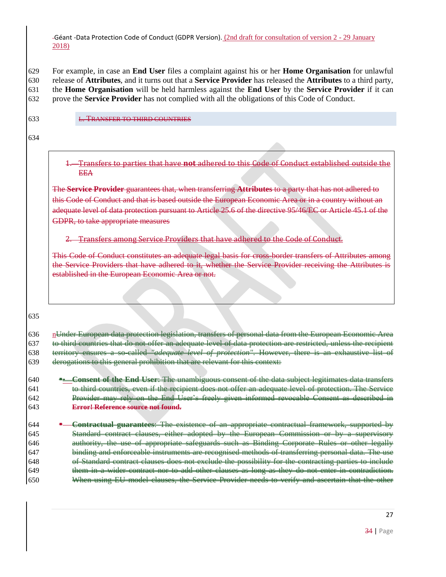For example, in case an **End User** files a complaint against his or her **Home Organisation** for unlawful release of **Attributes**, and it turns out that a **Service Provider** has released the **Attributes** to a third party, the **Home Organisation** will be held harmless against the **End User** by the **Service Provider** if it can prove the **Service Provider** has not complied with all the obligations of this Code of Conduct.

<span id="page-26-1"></span>633 L. TRANSFER TO THIRD COUNTRIES

634

1. Transfers to parties that have **not** adhered to this Code of Conduct established outside the EEA

The **Service Provider** guarantees that, when transferring **Attributes** to a party that has not adhered to this Code of Conduct and that is based outside the European Economic Area or in a country without an adequate level of data protection pursuant to Article 25.6 of the directive 95/46/EC or Article 45.1 of the GDPR, to take appropriate measures

### 2. Transfers among Service Providers that have adhered to the Code of Conduct.

This Code of Conduct constitutes an adequate legal basis for cross-border transfers of Attributes among the Service Providers that have adhered to it, whether the Service Provider receiving the Attributes is established in the European Economic Area or not.

635

<span id="page-26-0"></span>

| 636 | n <del>Under European data protection legislation, transfers of personal data from the European Economic Area</del> |
|-----|---------------------------------------------------------------------------------------------------------------------|
| 637 | to third countries that do not offer an adequate level of data protection are restricted unless the recipient       |
| 638 | territory ensures a so-called " <i>adequate level of protection</i> ". However, there is an exhaustive list of      |
| 639 | depending to this general probibition that are relayent for this context.                                           |
|     |                                                                                                                     |

| 640 | Consent of the End User: The unambiguous consent of the data subject legitimates data transfers       |
|-----|-------------------------------------------------------------------------------------------------------|
| 641 | to third countries, even if the recipient does not offer an adequate level of protection. The Service |
| 642 | Provider may rely on the End Heer's freely given informed revocable Consent as described in           |
| 643 | Frror! Reference course not found                                                                     |
|     |                                                                                                       |

 **Contractual guarantees**: The existence of an appropriate contractual framework, supported by 645 Standard contract clauses, either adopted by the European Commission or by a supervi authority, the use of appropriate safeguards such as Binding Corporate Rules or other legally binding and enforceable instruments are recognised methods of transferring personal data. The use of Standard contract clauses does not exclude the possibility for the contracting parties to include 649 them in a wider contract nor to add other clauses as long as they do not enter in contradiction. When using EU model clauses, the Service Provider needs to verify and ascertain that the other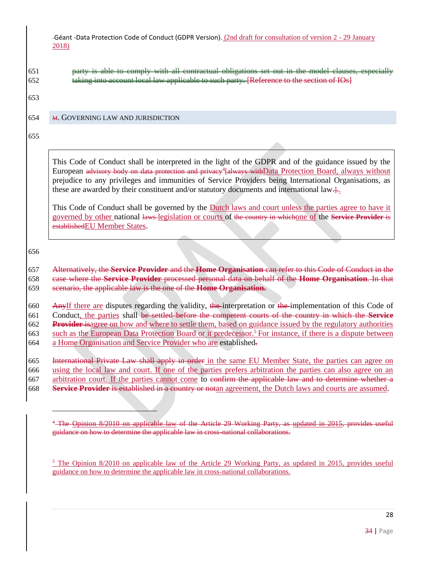651 party is able to comply with all contractual obligations set out in the model clauses, especially 652 taking into account local law applicable to such party. [Reference to the section of IOs]

653

### <span id="page-27-0"></span>654 M. GOVERNING LAW AND JURISDICTION

655

This Code of Conduct shall be interpreted in the light of the GDPR and of the guidance issued by the European advisory body on data protection and privacy<sup>4</sup> [always with Data Protection Board, always without prejudice to any privileges and immunities of Service Providers being International Organisations, as these are awarded by their constituent and/or statutory documents and international law.

This Code of Conduct shall be governed by the Dutch laws and court unless the parties agree to have it governed by other national laws legislation or courts of the country in whichone of the **Service Provider** is establishedEU Member States.

656

 $\overline{a}$ 

### 657 Alternatively, the **Service Provider** and the **Home Organisation** can refer to this Code of Conduct in the 658 case where the **Service Provider** processed personal data on behalf of the **Home Organisation**. In that 659 scenario, the applicable law is the one of the **Home Organisation.**

660 AnyIf there are disputes regarding the validity, the interpretation or the implementation of this Code of 661 Conduct, the parties shall be settled before the competent courts of the country in which the **Service**  662 **Provider** isagree on how and where to settle them, based on guidance issued by the regulatory authorities 663 such as the European Data Protection Board or it predecessor.<sup>5</sup> For instance, if there is a dispute between 664 a Home Organisation and Service Provider who are established-

665 International Private Law shall apply in order in the same EU Member State, the parties can agree on 666 using the local law and court. If one of the parties prefers arbitration the parties can also agree on an

667 arbitration court. If the parties cannot come to confirm the applicable law and to determine whether a

668 **Service Provider** is established in a country or notan agreement, the Dutch laws and courts are assumed.

<sup>5</sup> The [Opinion 8/2010 on applicable law](http://ec.europa.eu/justice/data-protection/article-29/documentation/opinion-recommendation/files/2010/wp179_en.pdf) of the Article 29 Working Party, a[s](http://ec.europa.eu/justice/data-protection/article-29/documentation/opinion-recommendation/files/2015/wp179_en_update.pdf) [updated in 2015,](http://ec.europa.eu/justice/data-protection/article-29/documentation/opinion-recommendation/files/2015/wp179_en_update.pdf) provides useful guidance on how to determine the applicable law in cross-national collaborations.

<sup>&</sup>lt;sup>4</sup>-The Opinion 8/2010 on applicable law of the Article 29 Working Party, as updated in 2015, provides useful guidance on how to determine the applicable law in cross-national collaborations.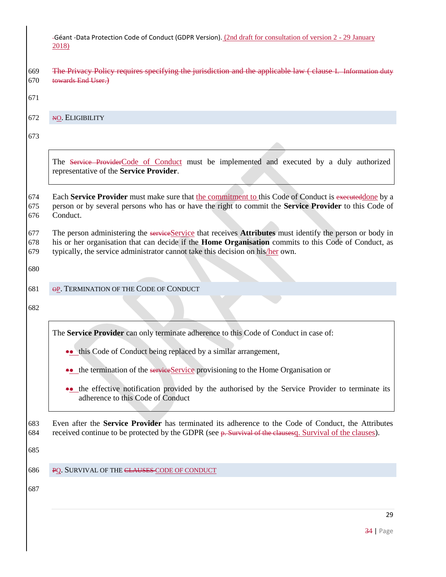| -Géant -Data Protection Code of Conduct (GDPR Version). (2nd draft for consultation of version 2 - 29 January |  |  |  |
|---------------------------------------------------------------------------------------------------------------|--|--|--|
| 2018)                                                                                                         |  |  |  |

<span id="page-28-2"></span><span id="page-28-1"></span><span id="page-28-0"></span>

| 669<br>670               | The Privacy Policy requires specifying the jurisdiction and the applicable law (clause I. Information duty<br>towards End User.)                                                                                                                                                                   |
|--------------------------|----------------------------------------------------------------------------------------------------------------------------------------------------------------------------------------------------------------------------------------------------------------------------------------------------|
| 671                      |                                                                                                                                                                                                                                                                                                    |
| 672                      | NO. ELIGIBILITY                                                                                                                                                                                                                                                                                    |
| 673                      |                                                                                                                                                                                                                                                                                                    |
|                          | The Service ProviderCode of Conduct must be implemented and executed by a duly authorized<br>representative of the Service Provider.                                                                                                                                                               |
| 674<br>675<br>676        | Each Service Provider must make sure that the commitment to this Code of Conduct is executed done by a<br>person or by several persons who has or have the right to commit the Service Provider to this Code of<br>Conduct.                                                                        |
| 677<br>678<br>679<br>680 | The person administering the serviceService that receives Attributes must identify the person or body in<br>his or her organisation that can decide if the Home Organisation commits to this Code of Conduct, as<br>typically, the service administrator cannot take this decision on his/her own. |
| 681                      | OP. TERMINATION OF THE CODE OF CONDUCT                                                                                                                                                                                                                                                             |
|                          |                                                                                                                                                                                                                                                                                                    |
| 682                      |                                                                                                                                                                                                                                                                                                    |
|                          | The Service Provider can only terminate adherence to this Code of Conduct in case of:                                                                                                                                                                                                              |
|                          | •• this Code of Conduct being replaced by a similar arrangement,                                                                                                                                                                                                                                   |
|                          | •• the termination of the serviceService provisioning to the Home Organisation or                                                                                                                                                                                                                  |
|                          | the effective notification provided by the authorised by the Service Provider to terminate its<br>adherence to this Code of Conduct                                                                                                                                                                |
| 683<br>684               | Even after the Service Provider has terminated its adherence to the Code of Conduct, the Attributes<br>received continue to be protected by the GDPR (see p. Survival of the elausesq. Survival of the clauses).                                                                                   |
| 685                      |                                                                                                                                                                                                                                                                                                    |
| 686                      | PQ. SURVIVAL OF THE CLAUSES CODE OF CONDUCT                                                                                                                                                                                                                                                        |
| 687                      |                                                                                                                                                                                                                                                                                                    |
|                          | 29                                                                                                                                                                                                                                                                                                 |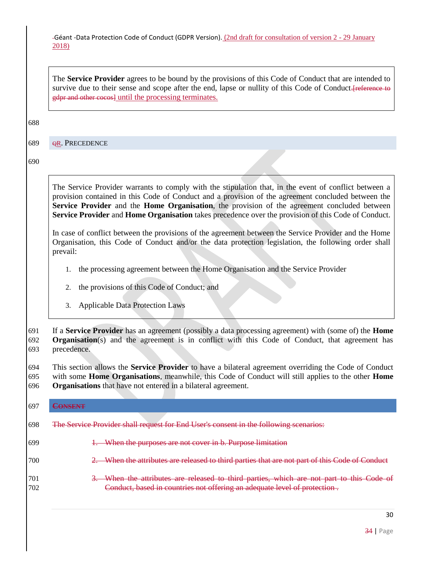The **Service Provider** agrees to be bound by the provisions of this Code of Conduct that are intended to survive due to their sense and scope after the end, lapse or nullity of this Code of Conduct. Treference to gdpr and other cocos] until the processing terminates.

#### 688

<span id="page-29-0"></span>689 OR. PRECEDENCE

690

The Service Provider warrants to comply with the stipulation that, in the event of conflict between a provision contained in this Code of Conduct and a provision of the agreement concluded between the **Service Provider** and the **Home Organisation**, the provision of the agreement concluded between **Service Provider** and **Home Organisation** takes precedence over the provision of this Code of Conduct.

In case of conflict between the provisions of the agreement between the Service Provider and the Home Organisation, this Code of Conduct and/or the data protection legislation, the following order shall prevail:

- 1. the processing agreement between the Home Organisation and the Service Provider
- 2. the provisions of this Code of Conduct; and
- 3. Applicable Data Protection Laws

691 If a **Service Provider** has an agreement (possibly a data processing agreement) with (some of) the **Home**  692 **Organisation**(s) and the agreement is in conflict with this Code of Conduct, that agreement has 693 precedence.

694 This section allows the **Service Provider** to have a bilateral agreement overriding the Code of Conduct 695 with some **Home Organisations**, meanwhile, this Code of Conduct will still applies to the other **Home**  696 **Organisations** that have not entered in a bilateral agreement.

<span id="page-29-1"></span>

| 697        | VEENT<br><b>THE R. P. LEWIS CO., LANSING MICH.</b>                                                                                                                 |
|------------|--------------------------------------------------------------------------------------------------------------------------------------------------------------------|
| 698        | The Service Provider shall request for End User's consent in the following scenarios:                                                                              |
| 699        | When the purposes are not cover in b. Purpose limitation                                                                                                           |
| 700        | When the attributes are released to third parties that are not part of this Code of Conduct                                                                        |
| 701<br>702 | When the attributes are released to third parties, which are not part to this Code of<br>Conduct, based in countries not offering an adequate level of protection. |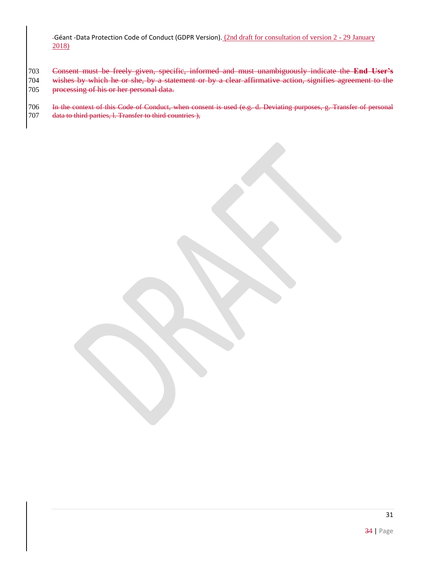- Consent must be freely given, specific, informed and must unambiguously indicate the **End User's**
- wishes by which he or she, by a statement or by a clear affirmative action, signifies agreement to the processing of his or her personal data.
- 706 In the context of this Code of Conduct, when consent is used (e.g. [d. Deviating purposes,](#page-16-1) g. Transfer of personal [data to third parties,](#page-20-1) [l. Transfer to third countries \)](#page-26-1),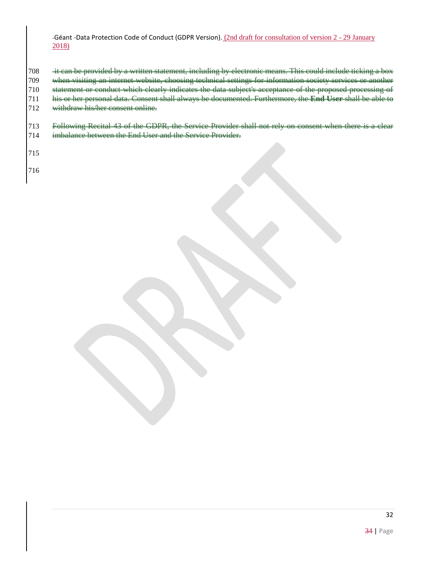<span id="page-31-0"></span>708 it can be provided by a written statement, including by electronic means. This could include ticking a box when visiting an internet website, choosing technical settings for information society services or another statement or conduct which clearly indicates the data subject's acceptance of the proposed processing of his or her personal data. Consent shall always be documented. Furthermore, the **End User** shall be able to 712 withdraw his/her consent online.

713 Following Recital 43 of the GDPR, the Service Provider shall not rely on consent when there is a clear imbalance between the End User and the Service Provider.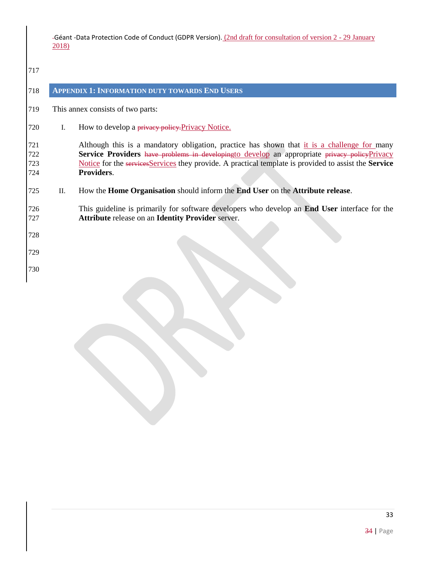<span id="page-32-1"></span><span id="page-32-0"></span>

| 717                      |     |                                                                                                                                                                                                                                                                                                                    |
|--------------------------|-----|--------------------------------------------------------------------------------------------------------------------------------------------------------------------------------------------------------------------------------------------------------------------------------------------------------------------|
| 718                      |     | <b>APPENDIX 1: INFORMATION DUTY TOWARDS END USERS</b>                                                                                                                                                                                                                                                              |
| 719                      |     | This annex consists of two parts:                                                                                                                                                                                                                                                                                  |
| 720                      | L.  | How to develop a privacy policy. Privacy Notice.                                                                                                                                                                                                                                                                   |
| 721<br>722<br>723<br>724 |     | Although this is a mandatory obligation, practice has shown that it is a challenge for many<br>Service Providers have problems in developingto develop an appropriate privacy policyPrivacy<br>Notice for the services Services they provide. A practical template is provided to assist the Service<br>Providers. |
| 725                      | II. | How the <b>Home Organisation</b> should inform the <b>End User</b> on the <b>Attribute release</b> .                                                                                                                                                                                                               |
| 726<br>727               |     | This guideline is primarily for software developers who develop an <b>End User</b> interface for the<br><b>Attribute release on an Identity Provider server.</b>                                                                                                                                                   |
| 728                      |     |                                                                                                                                                                                                                                                                                                                    |
| 729                      |     |                                                                                                                                                                                                                                                                                                                    |
| 730                      |     |                                                                                                                                                                                                                                                                                                                    |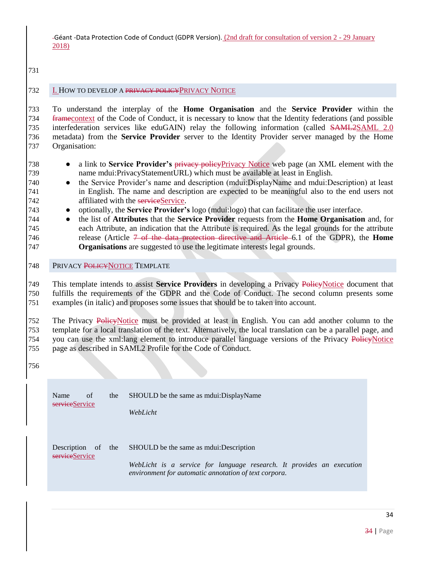### **I. HOW TO DEVELOP A PRIVACY POLICY PRIVACY NOTICE**

 To understand the interplay of the **Home Organisation** and the **Service Provider** within the 734 framecontext of the Code of Conduct, it is necessary to know that the Identity federations (and possible interfederation services like eduGAIN) relay the following information (called SAML2SAML 2.0 metadata) from the **Service Provider** server to the Identity Provider server managed by the Home Organisation:

- a link to **Service Provider's** privacy policyPrivacy Notice web page (an XML element with the name mdui:PrivacyStatementURL) which must be available at least in English.
- the Service Provider's name and description (mdui:DisplayName and mdui:Description) at least in English. The name and description are expected to be meaningful also to the end users not 742 affiliated with the service Service.
- optionally, the **Service Provider's** logo (mdui:logo) that can facilitate the user interface.
- the list of **Attributes** that the **Service Provider** requests from the **Home Organisation** and, for each Attribute, an indication that the Attribute is required. As the legal grounds for the attribute release (Article 7 of the data protection directive and Article 6.1 of the GDPR), the **Home Organisations** are suggested to use the legitimate interests legal grounds.
- <span id="page-33-0"></span>748 PRIVACY POLICYNOTICE TEMPLATE

 This template intends to assist **Service Providers** in developing a Privacy PolicyNotice document that fulfills the requirements of the GDPR and the Code of Conduct. The second column presents some examples (in italic) and proposes some issues that should be to taken into account.

 The Privacy PolicyNotice must be provided at least in English. You can add another column to the template for a local translation of the text. Alternatively, the local translation can be a parallel page, and 754 you can use the xml:lang element to introduce parallel language versions of the Privacy PolicyNotice page as described in SAML2 Profile for the Code of Conduct.

| Name<br>of<br>serviceService                   | the | SHOULD be the same as mount DisplayName<br>WebLicht                                                                                                              |
|------------------------------------------------|-----|------------------------------------------------------------------------------------------------------------------------------------------------------------------|
| Description<br><sub>of</sub><br>serviceService | the | SHOULD be the same as mounter-<br>WebLicht is a service for language research. It provides an execution<br>environment for automatic annotation of text corpora. |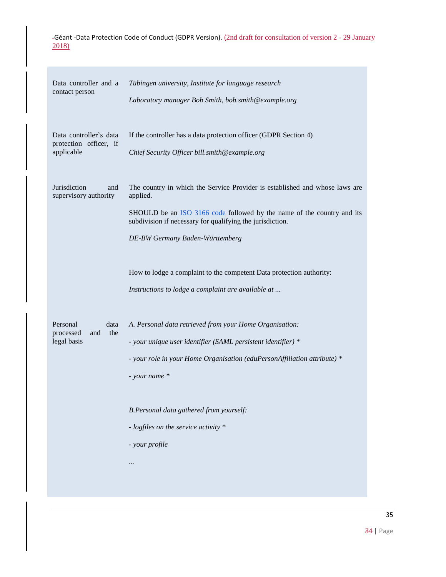| Data controller and a<br>contact person                        | Tübingen university, Institute for language research<br>Laboratory manager Bob Smith, bob.smith@example.org                                                                                                                                                       |
|----------------------------------------------------------------|-------------------------------------------------------------------------------------------------------------------------------------------------------------------------------------------------------------------------------------------------------------------|
| Data controller's data<br>protection officer, if<br>applicable | If the controller has a data protection officer (GDPR Section 4)<br>Chief Security Officer bill.smith@example.org                                                                                                                                                 |
| Jurisdiction<br>and<br>supervisory authority                   | The country in which the Service Provider is established and whose laws are<br>applied.<br>SHOULD be an ISO 3166 code followed by the name of the country and its<br>subdivision if necessary for qualifying the jurisdiction.<br>DE-BW Germany Baden-Württemberg |
|                                                                | How to lodge a complaint to the competent Data protection authority:<br>Instructions to lodge a complaint are available at                                                                                                                                        |
| Personal<br>data<br>processed<br>the<br>and<br>legal basis     | A. Personal data retrieved from your Home Organisation:<br>- your unique user identifier (SAML persistent identifier) *<br>- your role in your Home Organisation (eduPersonAffiliation attribute) *<br>- your name *                                              |
|                                                                | B.Personal data gathered from yourself:<br>- logfiles on the service activity *<br>- your profile<br>                                                                                                                                                             |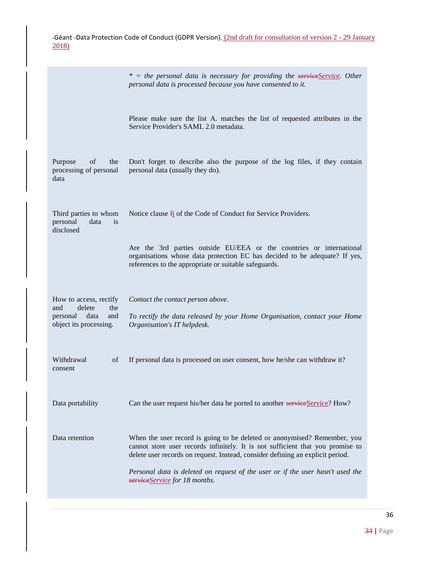|                                                                                                     | * = the personal data is necessary for providing the serviceService. Other<br>personal data is processed because you have consented to it.                                                                                                   |
|-----------------------------------------------------------------------------------------------------|----------------------------------------------------------------------------------------------------------------------------------------------------------------------------------------------------------------------------------------------|
|                                                                                                     | Please make sure the list A. matches the list of requested attributes in the<br>Service Provider's SAML 2.0 metadata.                                                                                                                        |
| Purpose<br>of<br>the<br>processing of personal<br>data                                              | Don't forget to describe also the purpose of the log files, if they contain<br>personal data (usually they do).                                                                                                                              |
| Third parties to whom<br>personal<br>data<br><i>is</i><br>disclosed                                 | Notice clause $f_1$ of the Code of Conduct for Service Providers.                                                                                                                                                                            |
|                                                                                                     | Are the 3rd parties outside EU/EEA or the countries or international<br>organisations whose data protection EC has decided to be adequate? If yes,<br>references to the appropriate or suitable safeguards.                                  |
| How to access, rectify<br>delete<br>the<br>and<br>personal<br>data<br>and<br>object its processing. | Contact the contact person above.<br>To rectify the data released by your Home Organisation, contact your Home<br>Organisation's IT helpdesk.                                                                                                |
| Withdrawal<br>of<br>consent                                                                         | If personal data is processed on user consent, how he/she can withdraw it?                                                                                                                                                                   |
| Data portability                                                                                    | Can the user request his/her data be ported to another serviceService? How?                                                                                                                                                                  |
| Data retention                                                                                      | When the user record is going to be deleted or anonymised? Remember, you<br>cannot store user records infinitely. It is not sufficient that you promise to<br>delete user records on request. Instead, consider defining an explicit period. |
|                                                                                                     | Personal data is deleted on request of the user or if the user hasn't used the<br>serviceService for 18 months.                                                                                                                              |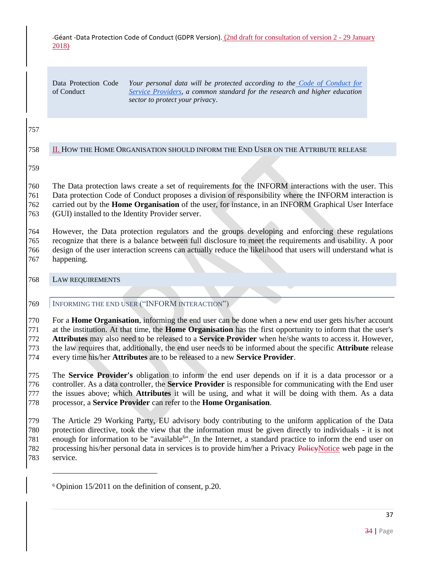Data Protection Code of Conduct

*Your personal data will be protected according to the [Code of Conduct for](http://www.geant.net/uri/dataprotection-code-of-conduct/v1)  [Service Providers,](http://www.geant.net/uri/dataprotection-code-of-conduct/v1) a common standard for the research and higher education sector to protect your privac*y.

## <span id="page-36-0"></span>II. HOW THE HOME ORGANISATION SHOULD INFORM THE END USER ON THE ATTRIBUTE RELEASE

 The Data protection laws create a set of requirements for the INFORM interactions with the user. This Data protection Code of Conduct proposes a division of responsibility where the INFORM interaction is carried out by the **Home Organisation** of the user, for instance, in an INFORM Graphical User Interface (GUI) installed to the Identity Provider server.

 However, the Data protection regulators and the groups developing and enforcing these regulations recognize that there is a balance between full disclosure to meet the requirements and usability. A poor design of the user interaction screens can actually reduce the likelihood that users will understand what is happening.

<span id="page-36-2"></span><span id="page-36-1"></span>LAW REQUIREMENTS

 $\overline{a}$ 

INFORMING THE END USER ("INFORM INTERACTION")

 For a **Home Organisation**, informing the end user can be done when a new end user gets his/her account at the institution. At that time, the **Home Organisation** has the first opportunity to inform that the user's **Attributes** may also need to be released to a **Service Provider** when he/she wants to access it. However, the law requires that, additionally, the end user needs to be informed about the specific **Attribute** release every time his/her **Attributes** are to be released to a new **Service Provider**.

 The **Service Provider's** obligation to inform the end user depends on if it is a data processor or a controller. As a data controller, the **Service Provider** is responsible for communicating with the End user the issues above; which **Attributes** it will be using, and what it will be doing with them. As a data processor, a **Service Provider** can refer to the **Home Organisation**.

 The Article 29 Working Party, EU advisory body contributing to the uniform application of the Data protection directive, took the view that the information must be given directly to individuals - it is not 781 enough for information to be "available<sup>6</sup>". In the Internet, a standard practice to inform the end user on 782 processing his/her personal data in services is to provide him/her a Privacy PolicyNotice web page in the service.

Opinion 15/2011 on the definition of consent, p.20.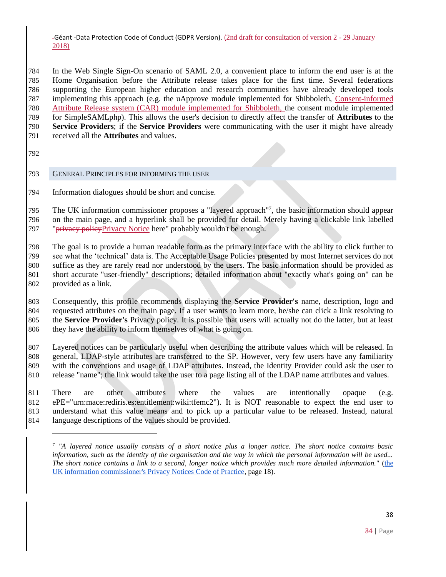In the Web Single Sign-On scenario of SAML 2.0, a convenient place to inform the end user is at the Home Organisation before the Attribute release takes place for the first time. Several federations supporting the European higher education and research communities have already developed tools implementing this approach (e.g. the uApprove module implemented for Shibboleth, Consent-informed Attribute Release system (CAR) module implemented for Shibboleth, the consent module implemented for SimpleSAMLphp). This allows the user's decision to directly affect the transfer of **Attributes** to the **Service Providers**; if the **Service Providers** were communicating with the user it might have already received all the **Attributes** and values.

 $\overline{a}$ 

### <span id="page-37-0"></span>GENERAL PRINCIPLES FOR INFORMING THE USER

Information dialogues should be short and concise.

795 The UK information commissioner proposes a "layered approach"<sup>7</sup>, the basic information should appear on the main page, and a hyperlink shall be provided for detail. Merely having a clickable link labelled 797 "<del>privacy policy</del>Privacy Notice here" probably wouldn't be enough.

 The goal is to provide a human readable form as the primary interface with the ability to click further to see what the 'technical' data is. The Acceptable Usage Policies presented by most Internet services do not suffice as they are rarely read nor understood by the users. The basic information should be provided as short accurate "user-friendly" descriptions; detailed information about "exactly what's going on" can be provided as a link.

 Consequently, this profile recommends displaying the **Service Provider's** name, description, logo and requested attributes on the main page. If a user wants to learn more, he/she can click a link resolving to the **Service Provider's** Privacy policy. It is possible that users will actually not do the latter, but at least they have the ability to inform themselves of what is going on.

 Layered notices can be particularly useful when describing the attribute values which will be released. In general, LDAP-style attributes are transferred to the SP. However, very few users have any familiarity with the conventions and usage of LDAP attributes. Instead, the Identity Provider could ask the user to release "name"; the link would take the user to a page listing all of the LDAP name attributes and values.

 There are other attributes where the values are intentionally opaque (e.g. ePE="urn:mace:rediris.es:entitlement:wiki:tfemc2"). It is NOT reasonable to expect the end user to understand what this value means and to pick up a particular value to be released. Instead, natural language descriptions of the values should be provided.

 *"A layered notice usually consists of a short notice plus a longer notice. The short notice contains basic information, such as the identity of the organisation and the way in which the personal information will be used... The short notice contains a link to a second, longer notice which provides much more detailed information."* [\(the](http://www.ico.gov.uk/for_organisations/data_protection/topic_guides/privacy_notices.aspx)  [UK information commissioner's Privacy Notices Code of Practice,](http://www.ico.gov.uk/for_organisations/data_protection/topic_guides/privacy_notices.aspx) page 18).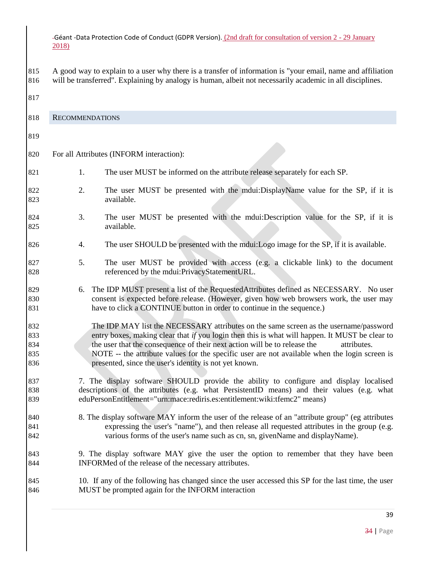A good way to explain to a user why there is a transfer of information is "your email, name and affiliation will be transferred". Explaining by analogy is human, albeit not necessarily academic in all disciplines.

<span id="page-38-0"></span> RECOMMENDATIONS For all Attributes (INFORM interaction): 821 1. The user MUST be informed on the attribute release separately for each SP. 822 2. The user MUST be presented with the mdui:DisplayName value for the SP, if it is available. 3. The user MUST be presented with the mdui:Description value for the SP, if it is available. 4. The user SHOULD be presented with the mdui:Logo image for the SP, if it is available. 5. The user MUST be provided with access (e.g. a clickable link) to the document 828 referenced by the mdui:PrivacyStatementURL. 6. The IDP MUST present a list of the RequestedAttributes defined as NECESSARY. No user consent is expected before release. (However, given how web browsers work, the user may have to click a CONTINUE button in order to continue in the sequence.) The IDP MAY list the NECESSARY attributes on the same screen as the username/password entry boxes, making clear that *if* you login then this is what will happen. It MUST be clear to the user that the consequence of their next action will be to release the attributes. NOTE -- the attribute values for the specific user are not available when the login screen is presented, since the user's identity is not yet known. 837 7. The display software SHOULD provide the ability to configure and display localised descriptions of the attributes (e.g. what PersistentID means) and their values (e.g. what eduPersonEntitlement="urn:mace:rediris.es:entitlement:wiki:tfemc2" means) 840 8. The display software MAY inform the user of the release of an "attribute group" (eg attributes expressing the user's "name"), and then release all requested attributes in the group (e.g. various forms of the user's name such as cn, sn, givenName and displayName). 9. The display software MAY give the user the option to remember that they have been INFORMed of the release of the necessary attributes. 10. If any of the following has changed since the user accessed this SP for the last time, the user MUST be prompted again for the INFORM interaction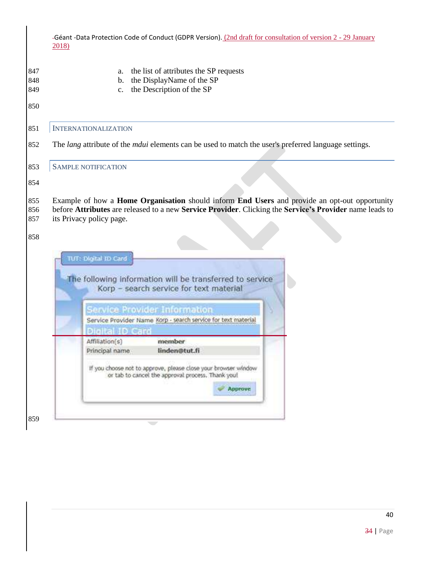<span id="page-39-1"></span><span id="page-39-0"></span>

| 2018) |                                  | -Géant -Data Protection Code of Conduct (GDPR Version). (2nd draft for consultation of version 2 - 29 January      |                                                          |  |
|-------|----------------------------------|--------------------------------------------------------------------------------------------------------------------|----------------------------------------------------------|--|
|       | a.<br>b.<br>c.                   | the list of attributes the SP requests<br>the DisplayName of the SP<br>the Description of the SP                   |                                                          |  |
|       | <b>INTERNATIONALIZATION</b>      |                                                                                                                    |                                                          |  |
|       |                                  | The <i>lang</i> attribute of the <i>mdui</i> elements can be used to match the user's preferred language settings. |                                                          |  |
|       | SAMPLE NOTIFICATION              |                                                                                                                    |                                                          |  |
|       |                                  |                                                                                                                    |                                                          |  |
|       | TUT: Digital ID Card             |                                                                                                                    | The following information will be transferred to service |  |
|       |                                  | Korp - search service for text material                                                                            |                                                          |  |
|       |                                  | Service Provider Information                                                                                       |                                                          |  |
|       | Digital ID Card                  | Service Provider Name Korp - search service for text material                                                      |                                                          |  |
|       | Affiliation(s)<br>Principal name | member<br>linden@tut.fi                                                                                            |                                                          |  |

 $\overline{\phantom{0}}$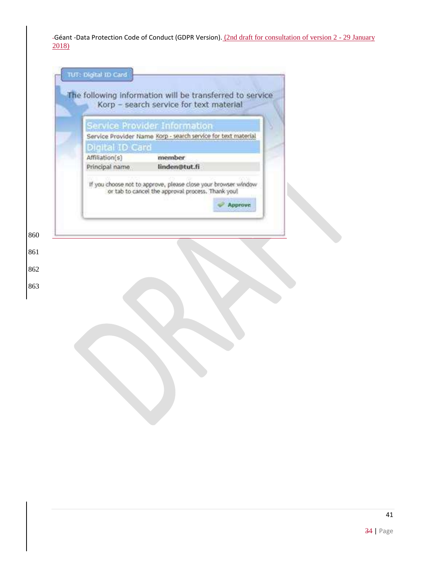| Digital ID Card                  | Service Provider Information<br>Service Provider Name Korp - search service for text material |                |
|----------------------------------|-----------------------------------------------------------------------------------------------|----------------|
| Affiliation(s)<br>Principal name | member<br>linden@tut.fi                                                                       |                |
|                                  |                                                                                               | <b>Approve</b> |
|                                  |                                                                                               |                |
|                                  |                                                                                               |                |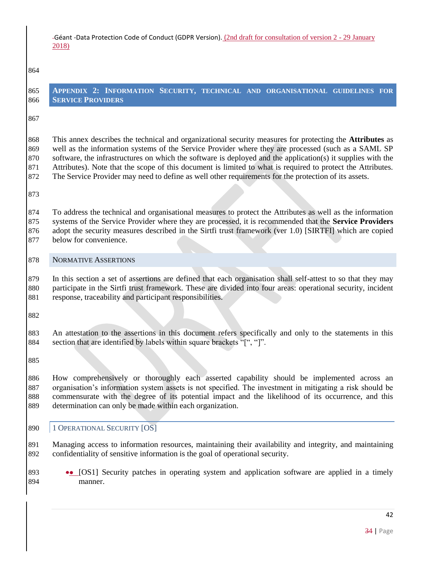#### 

<span id="page-41-0"></span>

| 865 APPENDIX 2: INFORMATION SECURITY, TECHNICAL AND ORGANISATIONAL GUIDELINES FOR |  |  |  |
|-----------------------------------------------------------------------------------|--|--|--|
| <b>866 SERVICE PROVIDERS</b>                                                      |  |  |  |
|                                                                                   |  |  |  |

 This annex describes the technical and organizational security measures for protecting the **Attributes** as well as the information systems of the Service Provider where they are processed (such as a SAML SP software, the infrastructures on which the software is deployed and the application(s) it supplies with the Attributes). Note that the scope of this document is limited to what is required to protect the Attributes. The Service Provider may need to define as well other requirements for the protection of its assets.

 To address the technical and organisational measures to protect the Attributes as well as the information systems of the Service Provider where they are processed, it is recommended that the **Service Providers** adopt the security measures described in the Sirtfi trust framework (ver 1.0) [SIRTFI] which are copied below for convenience.

### <span id="page-41-1"></span>NORMATIVE ASSERTIONS

 In this section a set of assertions are defined that each organisation shall self-attest to so that they may participate in the Sirtfi trust framework. These are divided into four areas: operational security, incident response, traceability and participant responsibilities.

 An attestation to the assertions in this document refers specifically and only to the statements in this section that are identified by labels within square brackets "[", "]".

 How comprehensively or thoroughly each asserted capability should be implemented across an organisation's information system assets is not specified. The investment in mitigating a risk should be commensurate with the degree of its potential impact and the likelihood of its occurrence, and this determination can only be made within each organization.

### <span id="page-41-2"></span>890 | 1 OPERATIONAL SECURITY [OS]

 Managing access to information resources, maintaining their availability and integrity, and maintaining confidentiality of sensitive information is the goal of operational security.

893 •• [OS1] Security patches in operating system and application software are applied in a timely manner.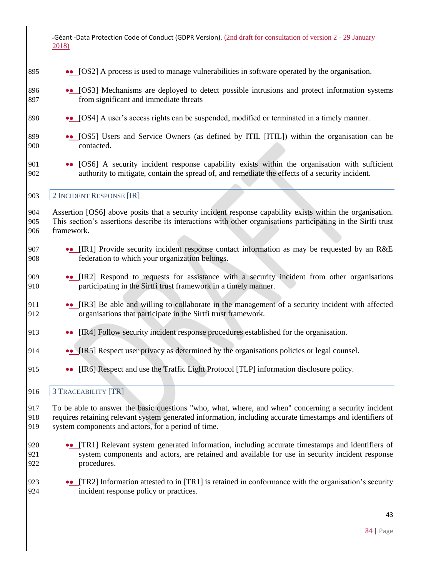## 895 •• [OS2] A process is used to manage vulnerabilities in software operated by the organisation.

- 896 [OS3] Mechanisms are deployed to detect possible intrusions and protect information systems 897 from significant and immediate threats
- 898 [OS4] A user's access rights can be suspended, modified or terminated in a timely manner.
- 899 [OS5] Users and Service Owners (as defined by ITIL [ITIL]) within the organisation can be 900 contacted.
- 901 •• [OS6] A security incident response capability exists within the organisation with sufficient 902 authority to mitigate, contain the spread of, and remediate the effects of a security incident.

### <span id="page-42-0"></span>903 | 2 INCIDENT RESPONSE [IR]

904 Assertion [OS6] above posits that a security incident response capability exists within the organisation. 905 This section's assertions describe its interactions with other organisations participating in the Sirtfi trust 906 framework.

- 907 •• [IR1] Provide security incident response contact information as may be requested by an R&E 908 federation to which your organization belongs.
- 909 [IR2] Respond to requests for assistance with a security incident from other organisations 910 participating in the Sirtfi trust framework in a timely manner.
- 911 •• [IR3] Be able and willing to collaborate in the management of a security incident with affected 912 organisations that participate in the Sirtfi trust framework.
- 913 •• [IR4] Follow security incident response procedures established for the organisation.
- 914 **IR5** Respect user privacy as determined by the organisations policies or legal counsel.
- 915 **••** [IR6] Respect and use the Traffic Light Protocol [TLP] information disclosure policy.

### <span id="page-42-1"></span>916 3 TRACEABILITY [TR]

917 To be able to answer the basic questions "who, what, where, and when" concerning a security incident 918 requires retaining relevant system generated information, including accurate timestamps and identifiers of 919 system components and actors, for a period of time.

- 920 •• [TR1] Relevant system generated information, including accurate timestamps and identifiers of 921 system components and actors, are retained and available for use in security incident response 922 procedures.
- 923 **••** [TR2] Information attested to in [TR1] is retained in conformance with the organisation's security 924 incident response policy or practices.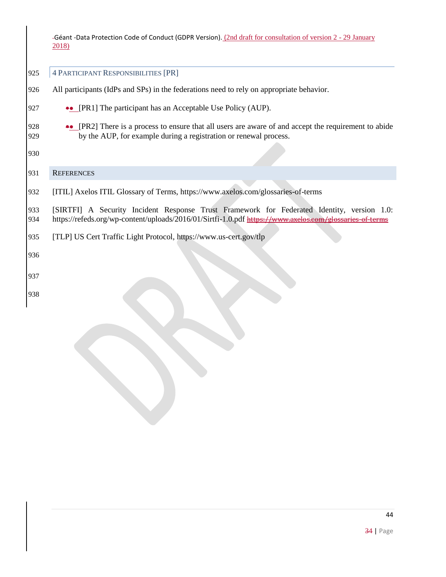<span id="page-43-0"></span>4 PARTICIPANT RESPONSIBILITIES [PR]

- All participants (IdPs and SPs) in the federations need to rely on appropriate behavior.
- 927 •• [PR1] The participant has an Acceptable Use Policy (AUP).
- 928 •• [PR2] There is a process to ensure that all users are aware of and accept the requirement to abide by the AUP, for example during a registration or renewal process.

### <span id="page-43-1"></span>REFERENCES

[ITIL] Axelos ITIL Glossary of Terms, <https://www.axelos.com/glossaries-of-terms>

 [SIRTFI] A Security Incident Response Trust Framework for Federated Identity, version 1.0: <https://refeds.org/wp-content/uploads/2016/01/Sirtfi-1.0.pdf> https://www.axelos.com/glossaries-of-terms

[TLP] US Cert Traffic Light Protocol, <https://www.us-cert.gov/tlp>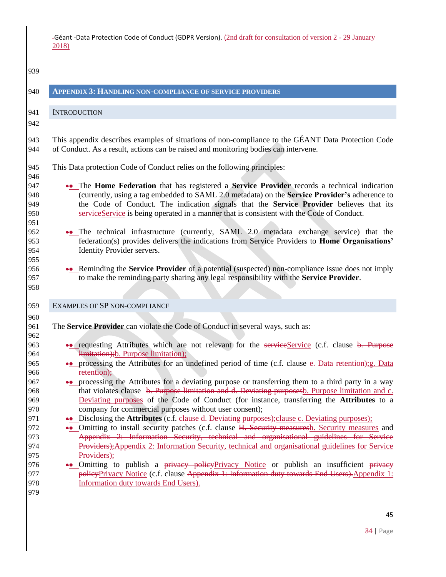<span id="page-44-2"></span><span id="page-44-1"></span><span id="page-44-0"></span>

| 939                                                                                                                                      |                                                                                                                                                                                                                                                                                                                                                                                                                                                                                                                                                                                                                                                                                                                                                                                                                                                                                                                                                                                                                                                                                                                                                                                                                                                                                                                                                                                |
|------------------------------------------------------------------------------------------------------------------------------------------|--------------------------------------------------------------------------------------------------------------------------------------------------------------------------------------------------------------------------------------------------------------------------------------------------------------------------------------------------------------------------------------------------------------------------------------------------------------------------------------------------------------------------------------------------------------------------------------------------------------------------------------------------------------------------------------------------------------------------------------------------------------------------------------------------------------------------------------------------------------------------------------------------------------------------------------------------------------------------------------------------------------------------------------------------------------------------------------------------------------------------------------------------------------------------------------------------------------------------------------------------------------------------------------------------------------------------------------------------------------------------------|
| 940                                                                                                                                      | <b>APPENDIX 3: HANDLING NON-COMPLIANCE OF SERVICE PROVIDERS</b>                                                                                                                                                                                                                                                                                                                                                                                                                                                                                                                                                                                                                                                                                                                                                                                                                                                                                                                                                                                                                                                                                                                                                                                                                                                                                                                |
| 941                                                                                                                                      | <b>INTRODUCTION</b>                                                                                                                                                                                                                                                                                                                                                                                                                                                                                                                                                                                                                                                                                                                                                                                                                                                                                                                                                                                                                                                                                                                                                                                                                                                                                                                                                            |
| 942<br>943<br>944<br>945<br>946<br>947<br>948<br>949<br>950<br>951<br>952<br>953<br>954<br>955                                           | This appendix describes examples of situations of non-compliance to the GÉANT Data Protection Code<br>of Conduct. As a result, actions can be raised and monitoring bodies can intervene.<br>This Data protection Code of Conduct relies on the following principles:<br>•• The Home Federation that has registered a Service Provider records a technical indication<br>(currently, using a tag embedded to SAML 2.0 metadata) on the Service Provider's adherence to<br>the Code of Conduct. The indication signals that the Service Provider believes that its<br>serviceService is being operated in a manner that is consistent with the Code of Conduct.<br>•• The technical infrastructure (currently, SAML 2.0 metadata exchange service) that the<br>federation(s) provides delivers the indications from Service Providers to Home Organisations'<br>Identity Provider servers.                                                                                                                                                                                                                                                                                                                                                                                                                                                                                      |
| 956<br>957<br>958                                                                                                                        | •• Reminding the Service Provider of a potential (suspected) non-compliance issue does not imply<br>to make the reminding party sharing any legal responsibility with the Service Provider.                                                                                                                                                                                                                                                                                                                                                                                                                                                                                                                                                                                                                                                                                                                                                                                                                                                                                                                                                                                                                                                                                                                                                                                    |
| 959                                                                                                                                      | EXAMPLES OF SP NON-COMPLIANCE                                                                                                                                                                                                                                                                                                                                                                                                                                                                                                                                                                                                                                                                                                                                                                                                                                                                                                                                                                                                                                                                                                                                                                                                                                                                                                                                                  |
| 960<br>961<br>962<br>963<br>964<br>965<br>966<br>967<br>968<br>969<br>970<br>971<br>972<br>973<br>974<br>975<br>976<br>977<br>978<br>979 | The Service Provider can violate the Code of Conduct in several ways, such as:<br>•• requesting Attributes which are not relevant for the serviceService (c.f. clause b. Purpose<br>limitation); b. Purpose limitation);<br>•• processing the Attributes for an undefined period of time (c.f. clause e. Data retention); g. Data<br>retention);<br>•• processing the Attributes for a deviating purpose or transferring them to a third party in a way<br>that violates clause b. Purpose limitation and d. Deviating purposesb. Purpose limitation and c.<br>Deviating purposes of the Code of Conduct (for instance, transferring the Attributes to a<br>company for commercial purposes without user consent);<br>•• Disclosing the Attributes (c.f. elause d. Deviating purposes); clause c. Deviating purposes);<br>•• Omitting to install security patches (c.f. clause H. Security measuresh. Security measures and<br>Appendix 2: Information Security, technical and organisational guidelines for Service<br>Providers); Appendix 2: Information Security, technical and organisational guidelines for Service<br>Providers);<br>•• Omitting to publish a privacy policyPrivacy Notice or publish an insufficient privacy<br>policyPrivacy Notice (c.f. clause Appendix 1: Information duty towards End Users). Appendix 1:<br>Information duty towards End Users). |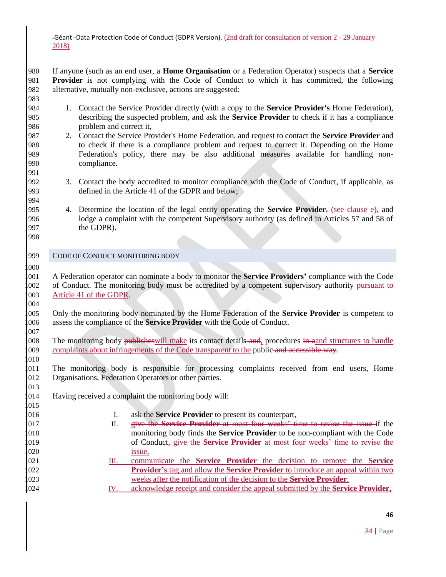If anyone (such as an end user, a **Home Organisation** or a Federation Operator) suspects that a **Service Provider** is not complying with the Code of Conduct to which it has committed, the following alternative, mutually non-exclusive, actions are suggested:

- 1. Contact the Service Provider directly (with a copy to the **Service Provider's** Home Federation), describing the suspected problem, and ask the **Service Provider** to check if it has a compliance problem and correct it,
- 2. Contact the Service Provider's Home Federation, and request to contact the **Service Provider** and to check if there is a compliance problem and request to correct it. Depending on the Home Federation's policy, there may be also additional measures available for handling non-compliance.
- 3. Contact the body accredited to monitor compliance with the Code of Conduct, if applicable, as defined in the Article 41 of the GDPR and below;
- 4. Determine the location of the legal entity operating the **Service Provider**, (see clause e), and lodge a complaint with the competent Supervisory authority (as defined in Articles 57 and 58 of the GDPR).
- 999 CODE OF CONDUCT MONITORING BODY

<span id="page-45-0"></span>

- A Federation operator can nominate a body to monitor the **Service Providers'** compliance with the Code of Conduct. The monitoring body must be accredited by a competent supervisory authority pursuant to 003 Article 41 of the GDPR.
- Only the monitoring body nominated by the Home Federation of the **Service Provider** is competent to assess the compliance of the **Service Provider** with the Code of Conduct.
- 008 The monitoring body publishes will make its contact details and, procedures in aand structures to handle 009 complaints about infringements of the Code transparent to the public and accessible way.
- The monitoring body is responsible for processing complaints received from end users, Home Organisations, Federation Operators or other parties.
- Having received a complaint the monitoring body will:
- I. ask the **Service Provider** to present its counterpart, II. give the **Service Provider** at most four weeks' time to revise the issue if the monitoring body finds the **Service Provider** to be non-compliant with the Code of Conduct, give the **Service Provider** at most four weeks' time to revise the 020 issue, III. communicate the **Service Provider** the decision to remove the **Service Provider's** tag and allow the **Service Provider** to introduce an appeal within two weeks after the notification of the decision to the **Service Provider**,
- IV. acknowledge receipt and consider the appeal submitted by the **Service Provider,**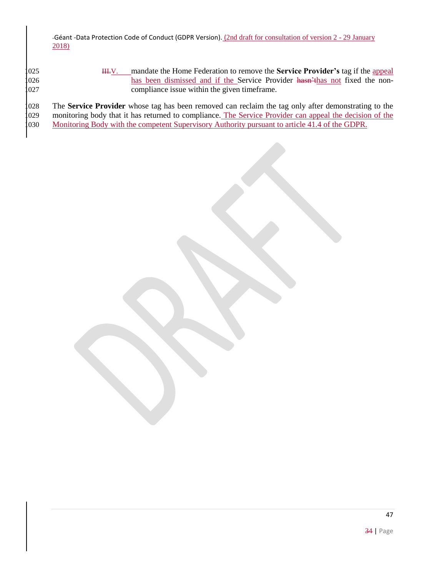| 1025 | mandate the Home Federation to remove the <b>Service Provider's</b> tag if the appeal<br>HI-V.          |
|------|---------------------------------------------------------------------------------------------------------|
| 1026 | has been dismissed and if the Service Provider hasn't has not fixed the non-                            |
| 1027 | compliance issue within the given time frame.                                                           |
|      |                                                                                                         |
| 1028 | The Service Provider whose tag has been removed can reclaim the tag only after demonstrating to the     |
| 1029 | monitoring body that it has returned to compliance. The Service Provider can appeal the decision of the |

1029 monitoring body that it has returned to compliance. The Service Provider can appear the completent  $S_1$ Monitoring Body with the competent Supervisory Authority pursuant to article 41.4 of the GDPR.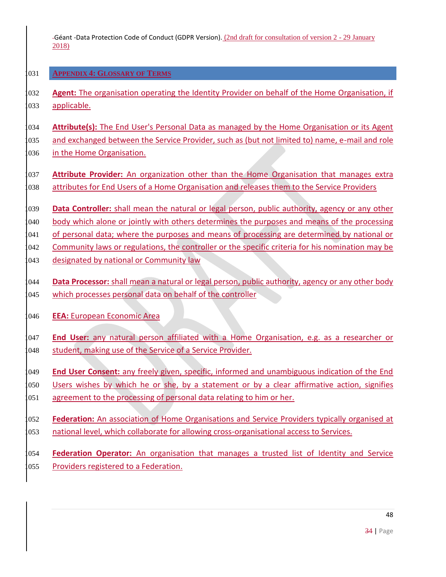## <span id="page-47-0"></span>1031 **APPENDIX 4: GLOSSARY OF TERMS**

1032 **Agent:** The organisation operating the Identity Provider on behalf of the Home Organisation, if 1033 applicable.

1034 **Attribute(s):** The End User's Personal Data as managed by the Home Organisation or its Agent 035 and exchanged between the Service Provider, such as (but not limited to) name, e-mail and role

036 in the Home Organisation.

- 1037 **Attribute Provider:** An organization other than the Home Organisation that manages extra 038 attributes for End Users of a Home Organisation and releases them to the Service Providers
- 1039 **Data Controller:** shall mean the natural or legal person, public authority, agency or any other

1040 body which alone or jointly with others determines the purposes and means of the processing

041 of personal data; where the purposes and means of processing are determined by national or

1042 Community laws or regulations, the controller or the specific criteria for his nomination may be

043 designated by national or Community law

1044 **Data Processor:** shall mean a natural or legal person, public authority, agency or any other body 045 which processes personal data on behalf of the controller

1046 **EEA:** European Economic Area

1047 **End User:** any natural person affiliated with a Home Organisation, e.g. as a researcher or 048 student, making use of the Service of a Service Provider.

1049 **End User Consent:** any freely given, specific, informed and unambiguous indication of the End

050 Users wishes by which he or she, by a statement or by a clear affirmative action, signifies

1051 agreement to the processing of personal data relating to him or her.

1052 **Federation:** An association of Home Organisations and Service Providers typically organised at 053 national level, which collaborate for allowing cross-organisational access to Services.

1054 **Federation Operator:** An organisation that manages a trusted list of Identity and Service 055 Providers registered to a Federation.